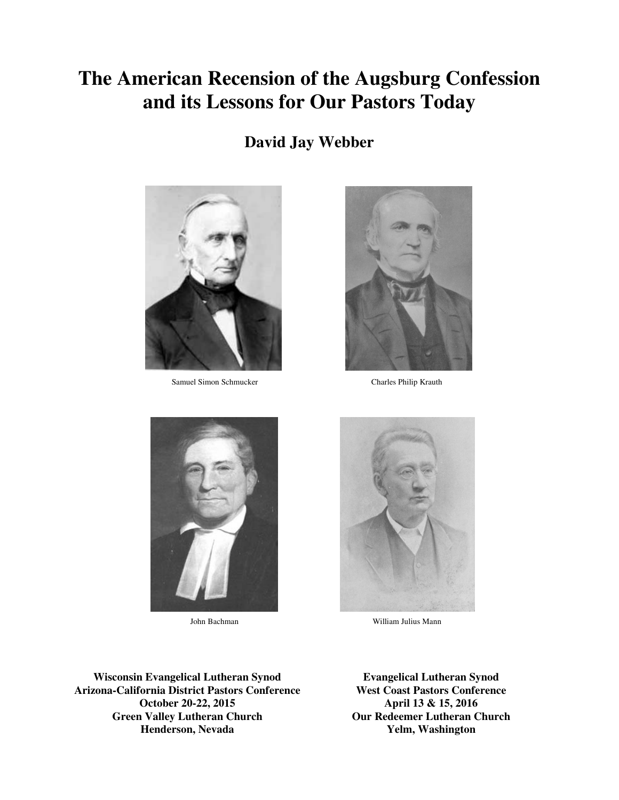# **The American Recension of the Augsburg Confession and its Lessons for Our Pastors Today**

**David Jay Webber**



Samuel Simon Schmucker Charles Philip Krauth







John Bachman William Julius Mann

**Wisconsin Evangelical Lutheran Synod Arizona-California District Pastors Conference October 20-22, 2015 Green Valley Lutheran Church Henderson, Nevada**

**Evangelical Lutheran Synod West Coast Pastors Conference April 13 & 15, 2016 Our Redeemer Lutheran Church Yelm, Washington**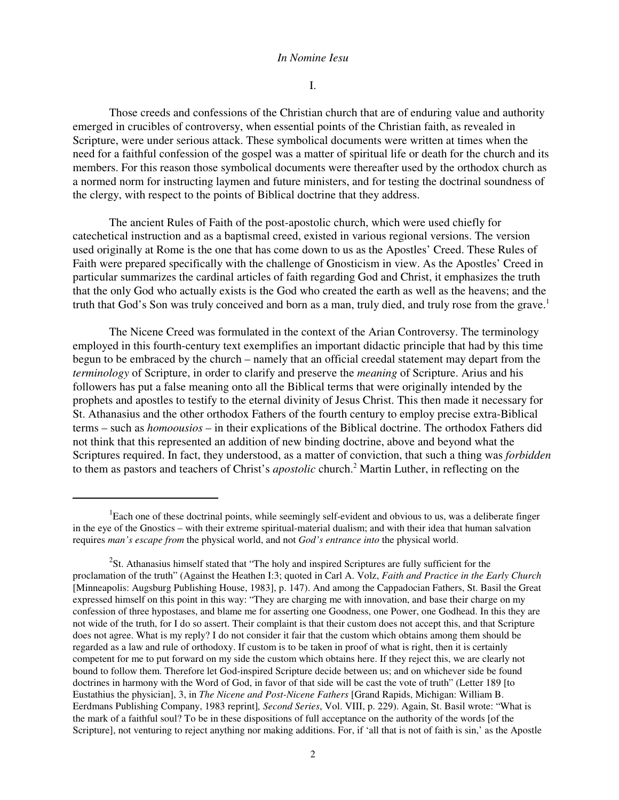#### *In Nomine Iesu*

I.

Those creeds and confessions of the Christian church that are of enduring value and authority emerged in crucibles of controversy, when essential points of the Christian faith, as revealed in Scripture, were under serious attack. These symbolical documents were written at times when the need for a faithful confession of the gospel was a matter of spiritual life or death for the church and its members. For this reason those symbolical documents were thereafter used by the orthodox church as a normed norm for instructing laymen and future ministers, and for testing the doctrinal soundness of the clergy, with respect to the points of Biblical doctrine that they address.

The ancient Rules of Faith of the post-apostolic church, which were used chiefly for catechetical instruction and as a baptismal creed, existed in various regional versions. The version used originally at Rome is the one that has come down to us as the Apostles' Creed. These Rules of Faith were prepared specifically with the challenge of Gnosticism in view. As the Apostles' Creed in particular summarizes the cardinal articles of faith regarding God and Christ, it emphasizes the truth that the only God who actually exists is the God who created the earth as well as the heavens; and the truth that God's Son was truly conceived and born as a man, truly died, and truly rose from the grave.<sup>1</sup>

The Nicene Creed was formulated in the context of the Arian Controversy. The terminology employed in this fourth-century text exemplifies an important didactic principle that had by this time begun to be embraced by the church – namely that an official creedal statement may depart from the *terminology* of Scripture, in order to clarify and preserve the *meaning* of Scripture. Arius and his followers has put a false meaning onto all the Biblical terms that were originally intended by the prophets and apostles to testify to the eternal divinity of Jesus Christ. This then made it necessary for St. Athanasius and the other orthodox Fathers of the fourth century to employ precise extra-Biblical terms – such as *homoousios* – in their explications of the Biblical doctrine. The orthodox Fathers did not think that this represented an addition of new binding doctrine, above and beyond what the Scriptures required. In fact, they understood, as a matter of conviction, that such a thing was *forbidden* to them as pastors and teachers of Christ's *apostolic* church.<sup>2</sup> Martin Luther, in reflecting on the

<sup>&</sup>lt;sup>1</sup>Each one of these doctrinal points, while seemingly self-evident and obvious to us, was a deliberate finger in the eye of the Gnostics – with their extreme spiritual-material dualism; and with their idea that human salvation requires *man's escape from* the physical world, and not *God's entrance into* the physical world.

 $2$ St. Athanasius himself stated that "The holy and inspired Scriptures are fully sufficient for the proclamation of the truth" (Against the Heathen I:3; quoted in Carl A. Volz, *Faith and Practice in the Early Church* [Minneapolis: Augsburg Publishing House, 1983], p. 147). And among the Cappadocian Fathers, St. Basil the Great expressed himself on this point in this way: "They are charging me with innovation, and base their charge on my confession of three hypostases, and blame me for asserting one Goodness, one Power, one Godhead. In this they are not wide of the truth, for I do so assert. Their complaint is that their custom does not accept this, and that Scripture does not agree. What is my reply? I do not consider it fair that the custom which obtains among them should be regarded as a law and rule of orthodoxy. If custom is to be taken in proof of what is right, then it is certainly competent for me to put forward on my side the custom which obtains here. If they reject this, we are clearly not bound to follow them. Therefore let God-inspired Scripture decide between us; and on whichever side be found doctrines in harmony with the Word of God, in favor of that side will be cast the vote of truth" (Letter 189 [to Eustathius the physician], 3, in *The Nicene and Post-Nicene Fathers* [Grand Rapids, Michigan: William B. Eerdmans Publishing Company, 1983 reprint]*, Second Series*, Vol. VIII, p. 229). Again, St. Basil wrote: "What is the mark of a faithful soul? To be in these dispositions of full acceptance on the authority of the words [of the Scripture], not venturing to reject anything nor making additions. For, if 'all that is not of faith is sin,' as the Apostle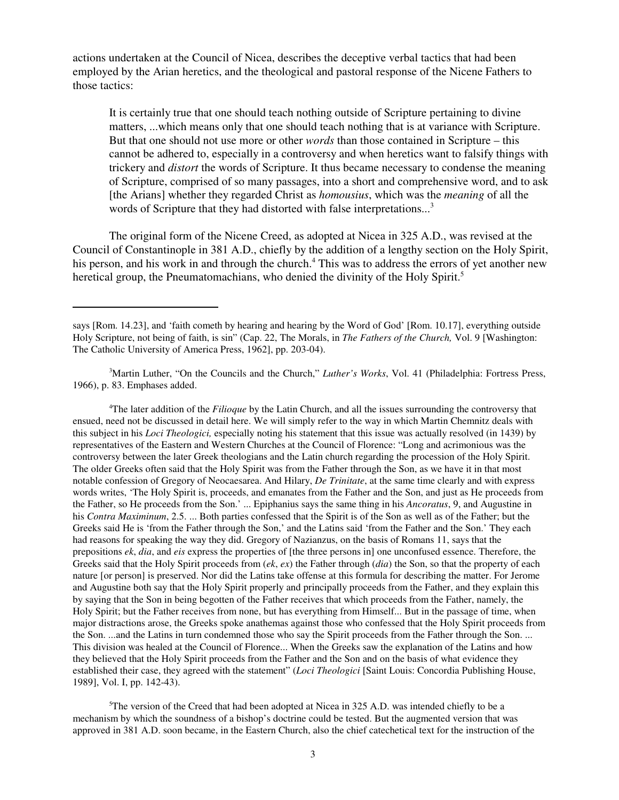actions undertaken at the Council of Nicea, describes the deceptive verbal tactics that had been employed by the Arian heretics, and the theological and pastoral response of the Nicene Fathers to those tactics:

It is certainly true that one should teach nothing outside of Scripture pertaining to divine matters, ...which means only that one should teach nothing that is at variance with Scripture. But that one should not use more or other *words* than those contained in Scripture – this cannot be adhered to, especially in a controversy and when heretics want to falsify things with trickery and *distort* the words of Scripture. It thus became necessary to condense the meaning of Scripture, comprised of so many passages, into a short and comprehensive word, and to ask [the Arians] whether they regarded Christ as *homousius*, which was the *meaning* of all the words of Scripture that they had distorted with false interpretations...<sup>3</sup>

The original form of the Nicene Creed, as adopted at Nicea in 325 A.D., was revised at the Council of Constantinople in 381 A.D., chiefly by the addition of a lengthy section on the Holy Spirit, his person, and his work in and through the church.<sup>4</sup> This was to address the errors of yet another new heretical group, the Pneumatomachians, who denied the divinity of the Holy Spirit.<sup>5</sup>

<sup>3</sup>Martin Luther, "On the Councils and the Church," *Luther's Works*, Vol. 41 (Philadelphia: Fortress Press, 1966), p. 83. Emphases added.

<sup>4</sup>The later addition of the *Filioque* by the Latin Church, and all the issues surrounding the controversy that ensued, need not be discussed in detail here. We will simply refer to the way in which Martin Chemnitz deals with this subject in his *Loci Theologici,* especially noting his statement that this issue was actually resolved (in 1439) by representatives of the Eastern and Western Churches at the Council of Florence: "Long and acrimonious was the controversy between the later Greek theologians and the Latin church regarding the procession of the Holy Spirit. The older Greeks often said that the Holy Spirit was from the Father through the Son, as we have it in that most notable confession of Gregory of Neocaesarea. And Hilary, *De Trinitate*, at the same time clearly and with express words writes, 'The Holy Spirit is, proceeds, and emanates from the Father and the Son, and just as He proceeds from the Father, so He proceeds from the Son.' ... Epiphanius says the same thing in his *Ancoratus*, 9, and Augustine in his *Contra Maximinum*, 2.5. ... Both parties confessed that the Spirit is of the Son as well as of the Father; but the Greeks said He is 'from the Father through the Son,' and the Latins said 'from the Father and the Son.' They each had reasons for speaking the way they did. Gregory of Nazianzus, on the basis of Romans 11, says that the prepositions *ek*, *dia*, and *eis* express the properties of [the three persons in] one unconfused essence. Therefore, the Greeks said that the Holy Spirit proceeds from (*ek*, *ex*) the Father through (*dia*) the Son, so that the property of each nature [or person] is preserved. Nor did the Latins take offense at this formula for describing the matter. For Jerome and Augustine both say that the Holy Spirit properly and principally proceeds from the Father, and they explain this by saying that the Son in being begotten of the Father receives that which proceeds from the Father, namely, the Holy Spirit; but the Father receives from none, but has everything from Himself... But in the passage of time, when major distractions arose, the Greeks spoke anathemas against those who confessed that the Holy Spirit proceeds from the Son. ...and the Latins in turn condemned those who say the Spirit proceeds from the Father through the Son. ... This division was healed at the Council of Florence... When the Greeks saw the explanation of the Latins and how they believed that the Holy Spirit proceeds from the Father and the Son and on the basis of what evidence they established their case, they agreed with the statement" (*Loci Theologici* [Saint Louis: Concordia Publishing House, 1989], Vol. I, pp. 142-43).

 $5$ The version of the Creed that had been adopted at Nicea in 325 A.D. was intended chiefly to be a mechanism by which the soundness of a bishop's doctrine could be tested. But the augmented version that was approved in 381 A.D. soon became, in the Eastern Church, also the chief catechetical text for the instruction of the

says [Rom. 14.23], and 'faith cometh by hearing and hearing by the Word of God' [Rom. 10.17], everything outside Holy Scripture, not being of faith, is sin" (Cap. 22, The Morals, in *The Fathers of the Church,* Vol. 9 [Washington: The Catholic University of America Press, 1962], pp. 203-04).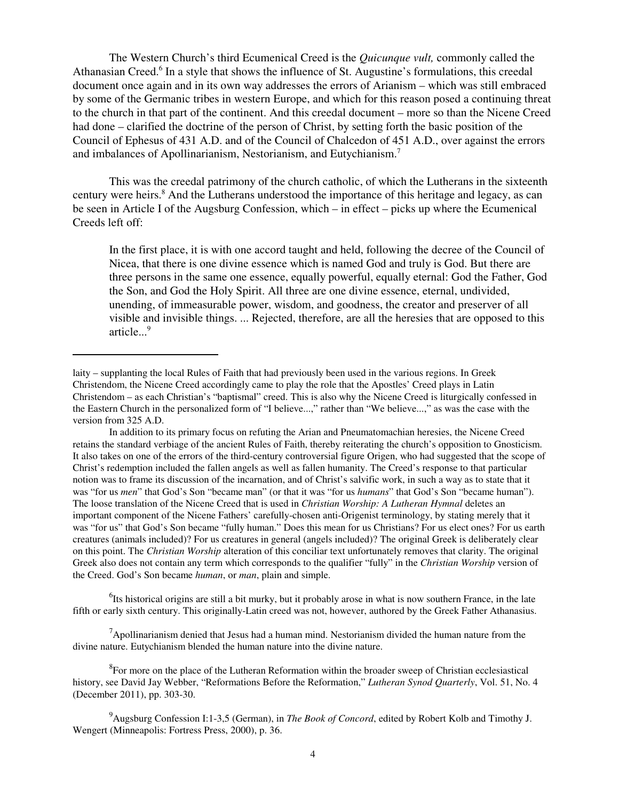The Western Church's third Ecumenical Creed is the *Quicunque vult,* commonly called the Athanasian Creed.<sup>6</sup> In a style that shows the influence of St. Augustine's formulations, this creedal document once again and in its own way addresses the errors of Arianism – which was still embraced by some of the Germanic tribes in western Europe, and which for this reason posed a continuing threat to the church in that part of the continent. And this creedal document – more so than the Nicene Creed had done – clarified the doctrine of the person of Christ, by setting forth the basic position of the Council of Ephesus of 431 A.D. and of the Council of Chalcedon of 451 A.D., over against the errors and imbalances of Apollinarianism, Nestorianism, and Eutychianism.<sup>7</sup>

This was the creedal patrimony of the church catholic, of which the Lutherans in the sixteenth century were heirs.<sup>8</sup> And the Lutherans understood the importance of this heritage and legacy, as can be seen in Article I of the Augsburg Confession, which – in effect – picks up where the Ecumenical Creeds left off:

In the first place, it is with one accord taught and held, following the decree of the Council of Nicea, that there is one divine essence which is named God and truly is God. But there are three persons in the same one essence, equally powerful, equally eternal: God the Father, God the Son, and God the Holy Spirit. All three are one divine essence, eternal, undivided, unending, of immeasurable power, wisdom, and goodness, the creator and preserver of all visible and invisible things. ... Rejected, therefore, are all the heresies that are opposed to this article...<sup>9</sup>

 $<sup>6</sup>$ Its historical origins are still a bit murky, but it probably arose in what is now southern France, in the late</sup> fifth or early sixth century. This originally-Latin creed was not, however, authored by the Greek Father Athanasius.

 $<sup>7</sup>$ Apollinarianism denied that Jesus had a human mind. Nestorianism divided the human nature from the</sup> divine nature. Eutychianism blended the human nature into the divine nature.

laity – supplanting the local Rules of Faith that had previously been used in the various regions. In Greek Christendom, the Nicene Creed accordingly came to play the role that the Apostles' Creed plays in Latin Christendom – as each Christian's "baptismal" creed. This is also why the Nicene Creed is liturgically confessed in the Eastern Church in the personalized form of "I believe...," rather than "We believe...," as was the case with the version from 325 A.D.

In addition to its primary focus on refuting the Arian and Pneumatomachian heresies, the Nicene Creed retains the standard verbiage of the ancient Rules of Faith, thereby reiterating the church's opposition to Gnosticism. It also takes on one of the errors of the third-century controversial figure Origen, who had suggested that the scope of Christ's redemption included the fallen angels as well as fallen humanity. The Creed's response to that particular notion was to frame its discussion of the incarnation, and of Christ's salvific work, in such a way as to state that it was "for us *men*" that God's Son "became man" (or that it was "for us *humans*" that God's Son "became human"). The loose translation of the Nicene Creed that is used in *Christian Worship: A Lutheran Hymnal* deletes an important component of the Nicene Fathers' carefully-chosen anti-Origenist terminology, by stating merely that it was "for us" that God's Son became "fully human." Does this mean for us Christians? For us elect ones? For us earth creatures (animals included)? For us creatures in general (angels included)? The original Greek is deliberately clear on this point. The *Christian Worship* alteration of this conciliar text unfortunately removes that clarity. The original Greek also does not contain any term which corresponds to the qualifier "fully" in the *Christian Worship* version of the Creed. God's Son became *human*, or *man*, plain and simple.

 ${}^{8}$ For more on the place of the Lutheran Reformation within the broader sweep of Christian ecclesiastical history, see David Jay Webber, "Reformations Before the Reformation," *Lutheran Synod Quarterly*, Vol. 51, No. 4 (December 2011), pp. 303-30.

<sup>9</sup>Augsburg Confession I:1-3,5 (German), in *The Book of Concord*, edited by Robert Kolb and Timothy J. Wengert (Minneapolis: Fortress Press, 2000), p. 36.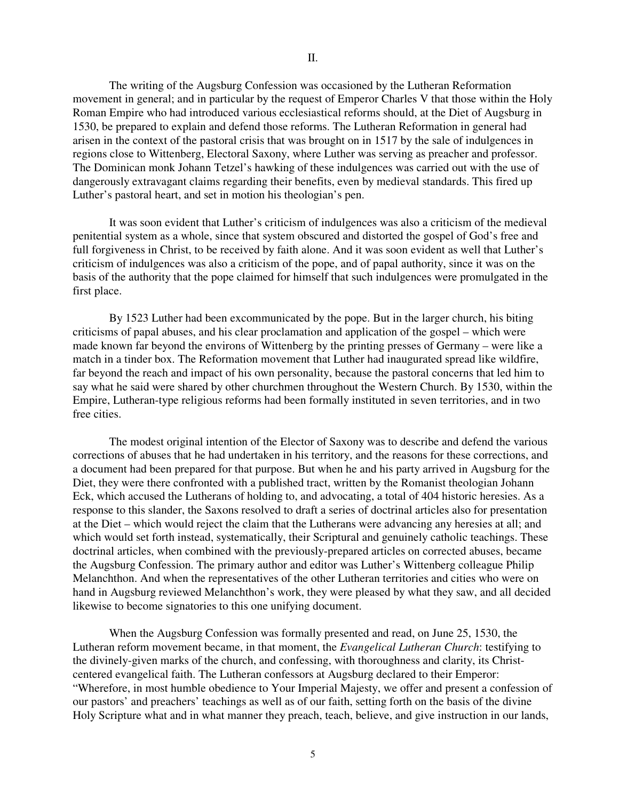The writing of the Augsburg Confession was occasioned by the Lutheran Reformation movement in general; and in particular by the request of Emperor Charles V that those within the Holy Roman Empire who had introduced various ecclesiastical reforms should, at the Diet of Augsburg in 1530, be prepared to explain and defend those reforms. The Lutheran Reformation in general had arisen in the context of the pastoral crisis that was brought on in 1517 by the sale of indulgences in regions close to Wittenberg, Electoral Saxony, where Luther was serving as preacher and professor. The Dominican monk Johann Tetzel's hawking of these indulgences was carried out with the use of dangerously extravagant claims regarding their benefits, even by medieval standards. This fired up Luther's pastoral heart, and set in motion his theologian's pen.

It was soon evident that Luther's criticism of indulgences was also a criticism of the medieval penitential system as a whole, since that system obscured and distorted the gospel of God's free and full forgiveness in Christ, to be received by faith alone. And it was soon evident as well that Luther's criticism of indulgences was also a criticism of the pope, and of papal authority, since it was on the basis of the authority that the pope claimed for himself that such indulgences were promulgated in the first place.

By 1523 Luther had been excommunicated by the pope. But in the larger church, his biting criticisms of papal abuses, and his clear proclamation and application of the gospel – which were made known far beyond the environs of Wittenberg by the printing presses of Germany – were like a match in a tinder box. The Reformation movement that Luther had inaugurated spread like wildfire, far beyond the reach and impact of his own personality, because the pastoral concerns that led him to say what he said were shared by other churchmen throughout the Western Church. By 1530, within the Empire, Lutheran-type religious reforms had been formally instituted in seven territories, and in two free cities.

The modest original intention of the Elector of Saxony was to describe and defend the various corrections of abuses that he had undertaken in his territory, and the reasons for these corrections, and a document had been prepared for that purpose. But when he and his party arrived in Augsburg for the Diet, they were there confronted with a published tract, written by the Romanist theologian Johann Eck, which accused the Lutherans of holding to, and advocating, a total of 404 historic heresies. As a response to this slander, the Saxons resolved to draft a series of doctrinal articles also for presentation at the Diet – which would reject the claim that the Lutherans were advancing any heresies at all; and which would set forth instead, systematically, their Scriptural and genuinely catholic teachings. These doctrinal articles, when combined with the previously-prepared articles on corrected abuses, became the Augsburg Confession. The primary author and editor was Luther's Wittenberg colleague Philip Melanchthon. And when the representatives of the other Lutheran territories and cities who were on hand in Augsburg reviewed Melanchthon's work, they were pleased by what they saw, and all decided likewise to become signatories to this one unifying document.

When the Augsburg Confession was formally presented and read, on June 25, 1530, the Lutheran reform movement became, in that moment, the *Evangelical Lutheran Church*: testifying to the divinely-given marks of the church, and confessing, with thoroughness and clarity, its Christcentered evangelical faith. The Lutheran confessors at Augsburg declared to their Emperor: "Wherefore, in most humble obedience to Your Imperial Majesty, we offer and present a confession of our pastors' and preachers' teachings as well as of our faith, setting forth on the basis of the divine Holy Scripture what and in what manner they preach, teach, believe, and give instruction in our lands,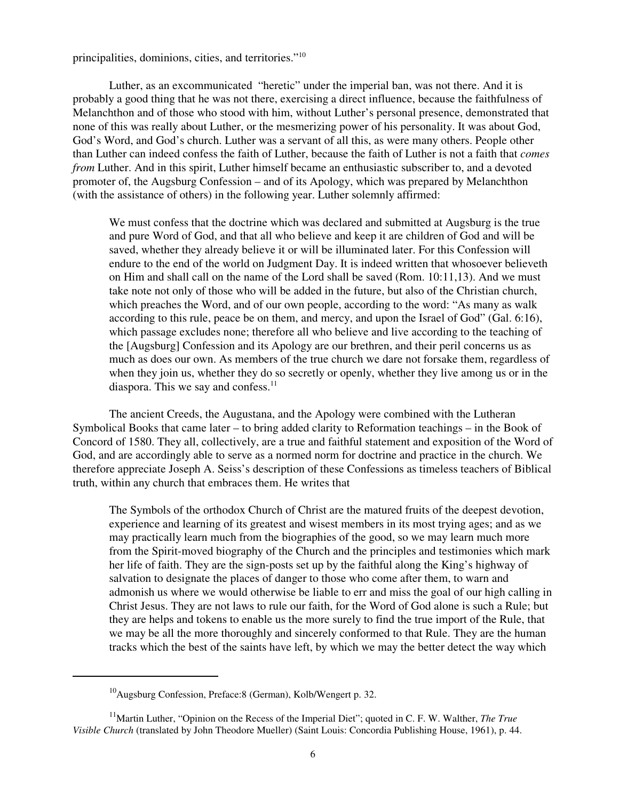principalities, dominions, cities, and territories."<sup>10</sup>

Luther, as an excommunicated "heretic" under the imperial ban, was not there. And it is probably a good thing that he was not there, exercising a direct influence, because the faithfulness of Melanchthon and of those who stood with him, without Luther's personal presence, demonstrated that none of this was really about Luther, or the mesmerizing power of his personality. It was about God, God's Word, and God's church. Luther was a servant of all this, as were many others. People other than Luther can indeed confess the faith of Luther, because the faith of Luther is not a faith that *comes from* Luther. And in this spirit, Luther himself became an enthusiastic subscriber to, and a devoted promoter of, the Augsburg Confession – and of its Apology, which was prepared by Melanchthon (with the assistance of others) in the following year. Luther solemnly affirmed:

We must confess that the doctrine which was declared and submitted at Augsburg is the true and pure Word of God, and that all who believe and keep it are children of God and will be saved, whether they already believe it or will be illuminated later. For this Confession will endure to the end of the world on Judgment Day. It is indeed written that whosoever believeth on Him and shall call on the name of the Lord shall be saved (Rom. 10:11,13). And we must take note not only of those who will be added in the future, but also of the Christian church, which preaches the Word, and of our own people, according to the word: "As many as walk according to this rule, peace be on them, and mercy, and upon the Israel of God" (Gal. 6:16), which passage excludes none; therefore all who believe and live according to the teaching of the [Augsburg] Confession and its Apology are our brethren, and their peril concerns us as much as does our own. As members of the true church we dare not forsake them, regardless of when they join us, whether they do so secretly or openly, whether they live among us or in the diaspora. This we say and confess. $11$ 

The ancient Creeds, the Augustana, and the Apology were combined with the Lutheran Symbolical Books that came later – to bring added clarity to Reformation teachings – in the Book of Concord of 1580. They all, collectively, are a true and faithful statement and exposition of the Word of God, and are accordingly able to serve as a normed norm for doctrine and practice in the church. We therefore appreciate Joseph A. Seiss's description of these Confessions as timeless teachers of Biblical truth, within any church that embraces them. He writes that

The Symbols of the orthodox Church of Christ are the matured fruits of the deepest devotion, experience and learning of its greatest and wisest members in its most trying ages; and as we may practically learn much from the biographies of the good, so we may learn much more from the Spirit-moved biography of the Church and the principles and testimonies which mark her life of faith. They are the sign-posts set up by the faithful along the King's highway of salvation to designate the places of danger to those who come after them, to warn and admonish us where we would otherwise be liable to err and miss the goal of our high calling in Christ Jesus. They are not laws to rule our faith, for the Word of God alone is such a Rule; but they are helps and tokens to enable us the more surely to find the true import of the Rule, that we may be all the more thoroughly and sincerely conformed to that Rule. They are the human tracks which the best of the saints have left, by which we may the better detect the way which

<sup>10</sup>Augsburg Confession, Preface:8 (German), Kolb/Wengert p. 32.

<sup>&</sup>lt;sup>11</sup>Martin Luther, "Opinion on the Recess of the Imperial Diet"; quoted in C. F. W. Walther, *The True Visible Church* (translated by John Theodore Mueller) (Saint Louis: Concordia Publishing House, 1961), p. 44.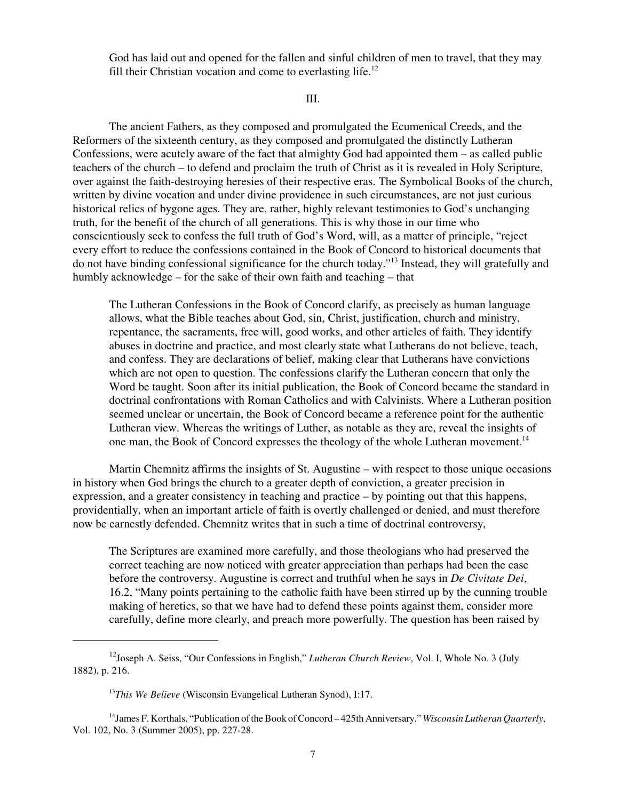God has laid out and opened for the fallen and sinful children of men to travel, that they may fill their Christian vocation and come to everlasting life.<sup>12</sup>

III.

The ancient Fathers, as they composed and promulgated the Ecumenical Creeds, and the Reformers of the sixteenth century, as they composed and promulgated the distinctly Lutheran Confessions, were acutely aware of the fact that almighty God had appointed them – as called public teachers of the church – to defend and proclaim the truth of Christ as it is revealed in Holy Scripture, over against the faith-destroying heresies of their respective eras. The Symbolical Books of the church, written by divine vocation and under divine providence in such circumstances, are not just curious historical relics of bygone ages. They are, rather, highly relevant testimonies to God's unchanging truth, for the benefit of the church of all generations. This is why those in our time who conscientiously seek to confess the full truth of God's Word, will, as a matter of principle, "reject every effort to reduce the confessions contained in the Book of Concord to historical documents that do not have binding confessional significance for the church today."<sup>13</sup> Instead, they will gratefully and humbly acknowledge – for the sake of their own faith and teaching – that

The Lutheran Confessions in the Book of Concord clarify, as precisely as human language allows, what the Bible teaches about God, sin, Christ, justification, church and ministry, repentance, the sacraments, free will, good works, and other articles of faith. They identify abuses in doctrine and practice, and most clearly state what Lutherans do not believe, teach, and confess. They are declarations of belief, making clear that Lutherans have convictions which are not open to question. The confessions clarify the Lutheran concern that only the Word be taught. Soon after its initial publication, the Book of Concord became the standard in doctrinal confrontations with Roman Catholics and with Calvinists. Where a Lutheran position seemed unclear or uncertain, the Book of Concord became a reference point for the authentic Lutheran view. Whereas the writings of Luther, as notable as they are, reveal the insights of one man, the Book of Concord expresses the theology of the whole Lutheran movement.<sup>14</sup>

Martin Chemnitz affirms the insights of St. Augustine – with respect to those unique occasions in history when God brings the church to a greater depth of conviction, a greater precision in expression, and a greater consistency in teaching and practice – by pointing out that this happens, providentially, when an important article of faith is overtly challenged or denied, and must therefore now be earnestly defended. Chemnitz writes that in such a time of doctrinal controversy,

The Scriptures are examined more carefully, and those theologians who had preserved the correct teaching are now noticed with greater appreciation than perhaps had been the case before the controversy. Augustine is correct and truthful when he says in *De Civitate Dei*, 16.2, "Many points pertaining to the catholic faith have been stirred up by the cunning trouble making of heretics, so that we have had to defend these points against them, consider more carefully, define more clearly, and preach more powerfully. The question has been raised by

<sup>&</sup>lt;sup>12</sup>Joseph A. Seiss, "Our Confessions in English," *Lutheran Church Review*, Vol. I, Whole No. 3 (July 1882), p. 216.

<sup>13</sup>*This We Believe* (Wisconsin Evangelical Lutheran Synod), I:17.

<sup>14</sup>James F. Korthals, "Publication of the Book of Concord – 425th Anniversary," *Wisconsin Lutheran Quarterly*, Vol. 102, No. 3 (Summer 2005), pp. 227-28.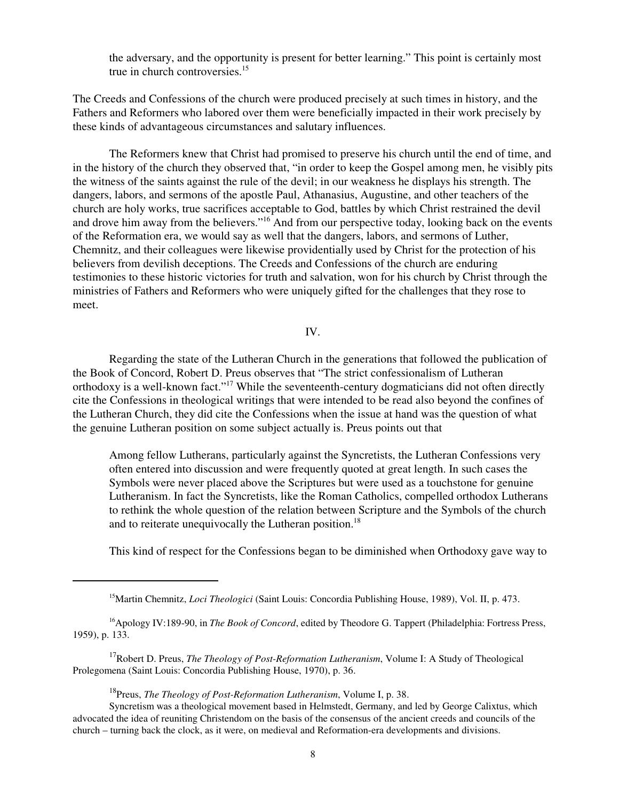the adversary, and the opportunity is present for better learning." This point is certainly most true in church controversies.<sup>15</sup>

The Creeds and Confessions of the church were produced precisely at such times in history, and the Fathers and Reformers who labored over them were beneficially impacted in their work precisely by these kinds of advantageous circumstances and salutary influences.

The Reformers knew that Christ had promised to preserve his church until the end of time, and in the history of the church they observed that, "in order to keep the Gospel among men, he visibly pits the witness of the saints against the rule of the devil; in our weakness he displays his strength. The dangers, labors, and sermons of the apostle Paul, Athanasius, Augustine, and other teachers of the church are holy works, true sacrifices acceptable to God, battles by which Christ restrained the devil and drove him away from the believers."<sup>16</sup> And from our perspective today, looking back on the events of the Reformation era, we would say as well that the dangers, labors, and sermons of Luther, Chemnitz, and their colleagues were likewise providentially used by Christ for the protection of his believers from devilish deceptions. The Creeds and Confessions of the church are enduring testimonies to these historic victories for truth and salvation, won for his church by Christ through the ministries of Fathers and Reformers who were uniquely gifted for the challenges that they rose to meet.

IV.

Regarding the state of the Lutheran Church in the generations that followed the publication of the Book of Concord, Robert D. Preus observes that "The strict confessionalism of Lutheran orthodoxy is a well-known fact."<sup>17</sup> While the seventeenth-century dogmaticians did not often directly cite the Confessions in theological writings that were intended to be read also beyond the confines of the Lutheran Church, they did cite the Confessions when the issue at hand was the question of what the genuine Lutheran position on some subject actually is. Preus points out that

Among fellow Lutherans, particularly against the Syncretists, the Lutheran Confessions very often entered into discussion and were frequently quoted at great length. In such cases the Symbols were never placed above the Scriptures but were used as a touchstone for genuine Lutheranism. In fact the Syncretists, like the Roman Catholics, compelled orthodox Lutherans to rethink the whole question of the relation between Scripture and the Symbols of the church and to reiterate unequivocally the Lutheran position.<sup>18</sup>

This kind of respect for the Confessions began to be diminished when Orthodoxy gave way to

<sup>16</sup>Apology IV:189-90, in *The Book of Concord*, edited by Theodore G. Tappert (Philadelphia: Fortress Press, 1959), p. 133.

<sup>17</sup>Robert D. Preus, *The Theology of Post-Reformation Lutheranism*, Volume I: A Study of Theological Prolegomena (Saint Louis: Concordia Publishing House, 1970), p. 36.

<sup>18</sup>Preus, *The Theology of Post-Reformation Lutheranism*, Volume I, p. 38.

Syncretism was a theological movement based in Helmstedt, Germany, and led by George Calixtus, which advocated the idea of reuniting Christendom on the basis of the consensus of the ancient creeds and councils of the church – turning back the clock, as it were, on medieval and Reformation-era developments and divisions.

<sup>15</sup>Martin Chemnitz, *Loci Theologici* (Saint Louis: Concordia Publishing House, 1989), Vol. II, p. 473.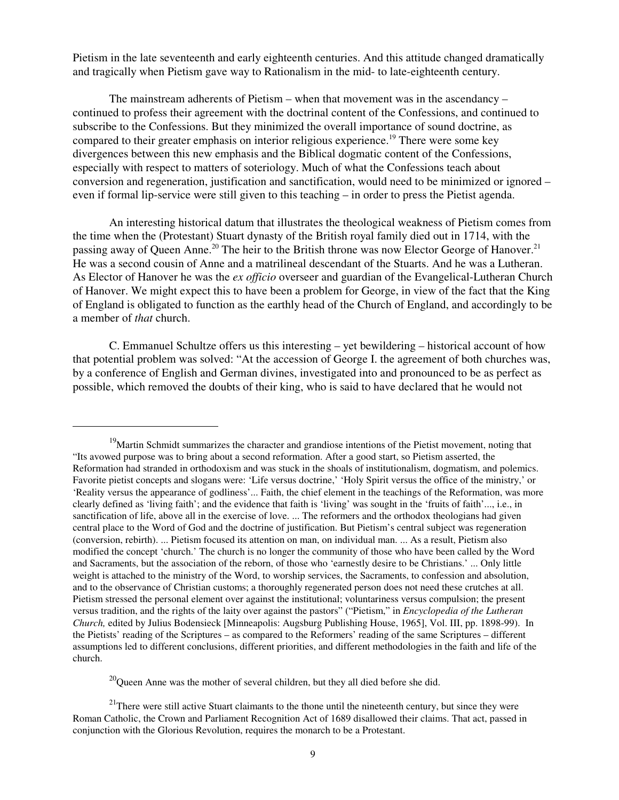Pietism in the late seventeenth and early eighteenth centuries. And this attitude changed dramatically and tragically when Pietism gave way to Rationalism in the mid- to late-eighteenth century.

The mainstream adherents of Pietism – when that movement was in the ascendancy – continued to profess their agreement with the doctrinal content of the Confessions, and continued to subscribe to the Confessions. But they minimized the overall importance of sound doctrine, as compared to their greater emphasis on interior religious experience.<sup>19</sup> There were some key divergences between this new emphasis and the Biblical dogmatic content of the Confessions, especially with respect to matters of soteriology. Much of what the Confessions teach about conversion and regeneration, justification and sanctification, would need to be minimized or ignored – even if formal lip-service were still given to this teaching – in order to press the Pietist agenda.

An interesting historical datum that illustrates the theological weakness of Pietism comes from the time when the (Protestant) Stuart dynasty of the British royal family died out in 1714, with the passing away of Queen Anne.<sup>20</sup> The heir to the British throne was now Elector George of Hanover.<sup>21</sup> He was a second cousin of Anne and a matrilineal descendant of the Stuarts. And he was a Lutheran. As Elector of Hanover he was the *ex officio* overseer and guardian of the Evangelical-Lutheran Church of Hanover. We might expect this to have been a problem for George, in view of the fact that the King of England is obligated to function as the earthly head of the Church of England, and accordingly to be a member of *that* church.

C. Emmanuel Schultze offers us this interesting – yet bewildering – historical account of how that potential problem was solved: "At the accession of George I. the agreement of both churches was, by a conference of English and German divines, investigated into and pronounced to be as perfect as possible, which removed the doubts of their king, who is said to have declared that he would not

<sup>&</sup>lt;sup>19</sup>Martin Schmidt summarizes the character and grandiose intentions of the Pietist movement, noting that "Its avowed purpose was to bring about a second reformation. After a good start, so Pietism asserted, the Reformation had stranded in orthodoxism and was stuck in the shoals of institutionalism, dogmatism, and polemics. Favorite pietist concepts and slogans were: 'Life versus doctrine,' 'Holy Spirit versus the office of the ministry,' or 'Reality versus the appearance of godliness'... Faith, the chief element in the teachings of the Reformation, was more clearly defined as 'living faith'; and the evidence that faith is 'living' was sought in the 'fruits of faith'..., i.e., in sanctification of life, above all in the exercise of love. ... The reformers and the orthodox theologians had given central place to the Word of God and the doctrine of justification. But Pietism's central subject was regeneration (conversion, rebirth). ... Pietism focused its attention on man, on individual man. ... As a result, Pietism also modified the concept 'church.' The church is no longer the community of those who have been called by the Word and Sacraments, but the association of the reborn, of those who 'earnestly desire to be Christians.' ... Only little weight is attached to the ministry of the Word, to worship services, the Sacraments, to confession and absolution, and to the observance of Christian customs; a thoroughly regenerated person does not need these crutches at all. Pietism stressed the personal element over against the institutional; voluntariness versus compulsion; the present versus tradition, and the rights of the laity over against the pastors" ("Pietism," in *Encyclopedia of the Lutheran Church,* edited by Julius Bodensieck [Minneapolis: Augsburg Publishing House, 1965], Vol. III, pp. 1898-99). In the Pietists' reading of the Scriptures – as compared to the Reformers' reading of the same Scriptures – different assumptions led to different conclusions, different priorities, and different methodologies in the faith and life of the church.

 $^{20}$ Queen Anne was the mother of several children, but they all died before she did.

 $21$ There were still active Stuart claimants to the thone until the nineteenth century, but since they were Roman Catholic, the Crown and Parliament Recognition Act of 1689 disallowed their claims. That act, passed in conjunction with the Glorious Revolution, requires the monarch to be a Protestant.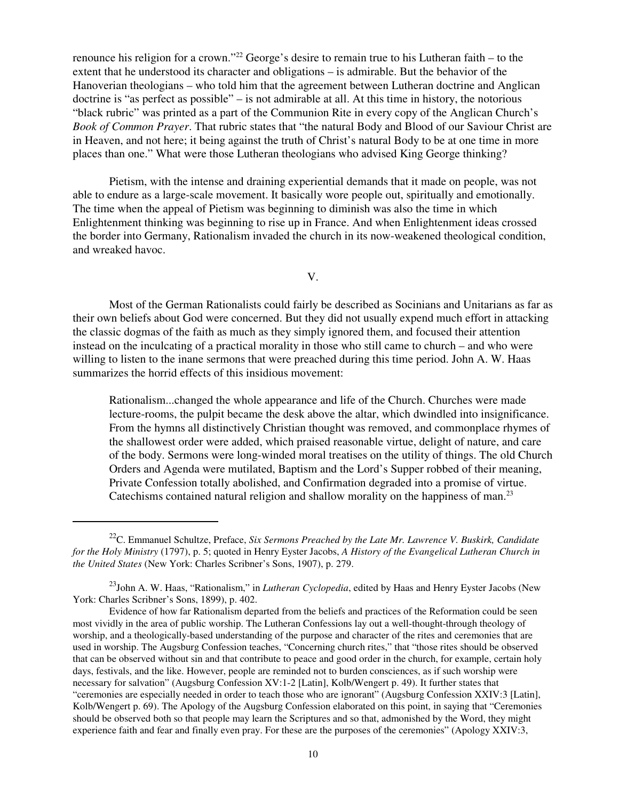renounce his religion for a crown."<sup>22</sup> George's desire to remain true to his Lutheran faith – to the extent that he understood its character and obligations – is admirable. But the behavior of the Hanoverian theologians – who told him that the agreement between Lutheran doctrine and Anglican doctrine is "as perfect as possible" – is not admirable at all. At this time in history, the notorious "black rubric" was printed as a part of the Communion Rite in every copy of the Anglican Church's *Book of Common Prayer*. That rubric states that "the natural Body and Blood of our Saviour Christ are in Heaven, and not here; it being against the truth of Christ's natural Body to be at one time in more places than one." What were those Lutheran theologians who advised King George thinking?

Pietism, with the intense and draining experiential demands that it made on people, was not able to endure as a large-scale movement. It basically wore people out, spiritually and emotionally. The time when the appeal of Pietism was beginning to diminish was also the time in which Enlightenment thinking was beginning to rise up in France. And when Enlightenment ideas crossed the border into Germany, Rationalism invaded the church in its now-weakened theological condition, and wreaked havoc.

V.

Most of the German Rationalists could fairly be described as Socinians and Unitarians as far as their own beliefs about God were concerned. But they did not usually expend much effort in attacking the classic dogmas of the faith as much as they simply ignored them, and focused their attention instead on the inculcating of a practical morality in those who still came to church – and who were willing to listen to the inane sermons that were preached during this time period. John A. W. Haas summarizes the horrid effects of this insidious movement:

Rationalism...changed the whole appearance and life of the Church. Churches were made lecture-rooms, the pulpit became the desk above the altar, which dwindled into insignificance. From the hymns all distinctively Christian thought was removed, and commonplace rhymes of the shallowest order were added, which praised reasonable virtue, delight of nature, and care of the body. Sermons were long-winded moral treatises on the utility of things. The old Church Orders and Agenda were mutilated, Baptism and the Lord's Supper robbed of their meaning, Private Confession totally abolished, and Confirmation degraded into a promise of virtue. Catechisms contained natural religion and shallow morality on the happiness of man.<sup>23</sup>

<sup>22</sup>C. Emmanuel Schultze, Preface, *Six Sermons Preached by the Late Mr. Lawrence V. Buskirk, Candidate for the Holy Ministry* (1797), p. 5; quoted in Henry Eyster Jacobs, *A History of the Evangelical Lutheran Church in the United States* (New York: Charles Scribner's Sons, 1907), p. 279.

<sup>23</sup>John A. W. Haas, "Rationalism," in *Lutheran Cyclopedia*, edited by Haas and Henry Eyster Jacobs (New York: Charles Scribner's Sons, 1899), p. 402.

Evidence of how far Rationalism departed from the beliefs and practices of the Reformation could be seen most vividly in the area of public worship. The Lutheran Confessions lay out a well-thought-through theology of worship, and a theologically-based understanding of the purpose and character of the rites and ceremonies that are used in worship. The Augsburg Confession teaches, "Concerning church rites," that "those rites should be observed that can be observed without sin and that contribute to peace and good order in the church, for example, certain holy days, festivals, and the like. However, people are reminded not to burden consciences, as if such worship were necessary for salvation" (Augsburg Confession XV:1-2 [Latin], Kolb/Wengert p. 49). It further states that "ceremonies are especially needed in order to teach those who are ignorant" (Augsburg Confession XXIV:3 [Latin], Kolb/Wengert p. 69). The Apology of the Augsburg Confession elaborated on this point, in saying that "Ceremonies should be observed both so that people may learn the Scriptures and so that, admonished by the Word, they might experience faith and fear and finally even pray. For these are the purposes of the ceremonies" (Apology XXIV:3,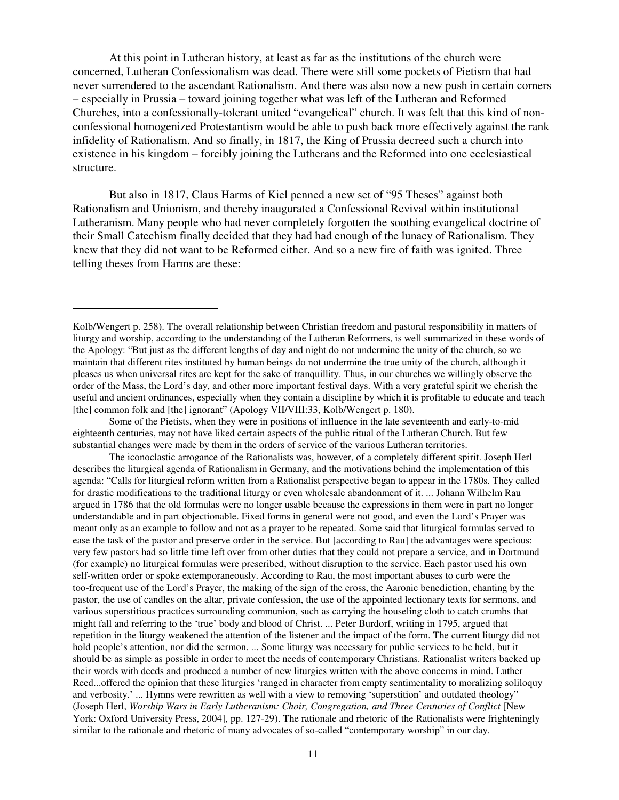At this point in Lutheran history, at least as far as the institutions of the church were concerned, Lutheran Confessionalism was dead. There were still some pockets of Pietism that had never surrendered to the ascendant Rationalism. And there was also now a new push in certain corners – especially in Prussia – toward joining together what was left of the Lutheran and Reformed Churches, into a confessionally-tolerant united "evangelical" church. It was felt that this kind of nonconfessional homogenized Protestantism would be able to push back more effectively against the rank infidelity of Rationalism. And so finally, in 1817, the King of Prussia decreed such a church into existence in his kingdom – forcibly joining the Lutherans and the Reformed into one ecclesiastical structure.

But also in 1817, Claus Harms of Kiel penned a new set of "95 Theses" against both Rationalism and Unionism, and thereby inaugurated a Confessional Revival within institutional Lutheranism. Many people who had never completely forgotten the soothing evangelical doctrine of their Small Catechism finally decided that they had had enough of the lunacy of Rationalism. They knew that they did not want to be Reformed either. And so a new fire of faith was ignited. Three telling theses from Harms are these:

Some of the Pietists, when they were in positions of influence in the late seventeenth and early-to-mid eighteenth centuries, may not have liked certain aspects of the public ritual of the Lutheran Church. But few substantial changes were made by them in the orders of service of the various Lutheran territories.

The iconoclastic arrogance of the Rationalists was, however, of a completely different spirit. Joseph Herl describes the liturgical agenda of Rationalism in Germany, and the motivations behind the implementation of this agenda: "Calls for liturgical reform written from a Rationalist perspective began to appear in the 1780s. They called for drastic modifications to the traditional liturgy or even wholesale abandonment of it. ... Johann Wilhelm Rau argued in 1786 that the old formulas were no longer usable because the expressions in them were in part no longer understandable and in part objectionable. Fixed forms in general were not good, and even the Lord's Prayer was meant only as an example to follow and not as a prayer to be repeated. Some said that liturgical formulas served to ease the task of the pastor and preserve order in the service. But [according to Rau] the advantages were specious: very few pastors had so little time left over from other duties that they could not prepare a service, and in Dortmund (for example) no liturgical formulas were prescribed, without disruption to the service. Each pastor used his own self-written order or spoke extemporaneously. According to Rau, the most important abuses to curb were the too-frequent use of the Lord's Prayer, the making of the sign of the cross, the Aaronic benediction, chanting by the pastor, the use of candles on the altar, private confession, the use of the appointed lectionary texts for sermons, and various superstitious practices surrounding communion, such as carrying the houseling cloth to catch crumbs that might fall and referring to the 'true' body and blood of Christ. ... Peter Burdorf, writing in 1795, argued that repetition in the liturgy weakened the attention of the listener and the impact of the form. The current liturgy did not hold people's attention, nor did the sermon. ... Some liturgy was necessary for public services to be held, but it should be as simple as possible in order to meet the needs of contemporary Christians. Rationalist writers backed up their words with deeds and produced a number of new liturgies written with the above concerns in mind. Luther Reed...offered the opinion that these liturgies 'ranged in character from empty sentimentality to moralizing soliloquy and verbosity.' ... Hymns were rewritten as well with a view to removing 'superstition' and outdated theology" (Joseph Herl, *Worship Wars in Early Lutheranism: Choir, Congregation, and Three Centuries of Conflict* [New York: Oxford University Press, 2004], pp. 127-29). The rationale and rhetoric of the Rationalists were frighteningly similar to the rationale and rhetoric of many advocates of so-called "contemporary worship" in our day.

Kolb/Wengert p. 258). The overall relationship between Christian freedom and pastoral responsibility in matters of liturgy and worship, according to the understanding of the Lutheran Reformers, is well summarized in these words of the Apology: "But just as the different lengths of day and night do not undermine the unity of the church, so we maintain that different rites instituted by human beings do not undermine the true unity of the church, although it pleases us when universal rites are kept for the sake of tranquillity. Thus, in our churches we willingly observe the order of the Mass, the Lord's day, and other more important festival days. With a very grateful spirit we cherish the useful and ancient ordinances, especially when they contain a discipline by which it is profitable to educate and teach [the] common folk and [the] ignorant" (Apology VII/VIII:33, Kolb/Wengert p. 180).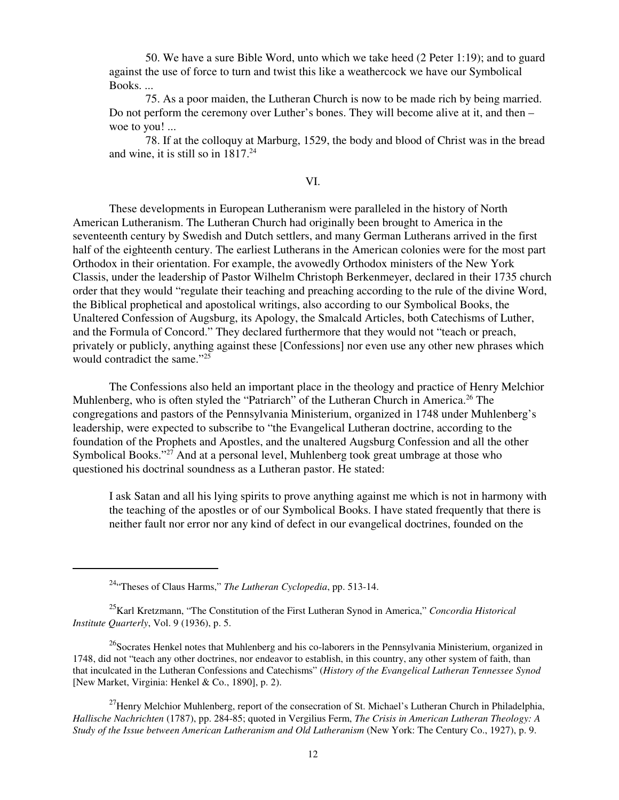50. We have a sure Bible Word, unto which we take heed (2 Peter 1:19); and to guard against the use of force to turn and twist this like a weathercock we have our Symbolical Books. ...

75. As a poor maiden, the Lutheran Church is now to be made rich by being married. Do not perform the ceremony over Luther's bones. They will become alive at it, and then – woe to you! ...

78. If at the colloquy at Marburg, 1529, the body and blood of Christ was in the bread and wine, it is still so in  $1817<sup>24</sup>$ 

VI.

These developments in European Lutheranism were paralleled in the history of North American Lutheranism. The Lutheran Church had originally been brought to America in the seventeenth century by Swedish and Dutch settlers, and many German Lutherans arrived in the first half of the eighteenth century. The earliest Lutherans in the American colonies were for the most part Orthodox in their orientation. For example, the avowedly Orthodox ministers of the New York Classis, under the leadership of Pastor Wilhelm Christoph Berkenmeyer, declared in their 1735 church order that they would "regulate their teaching and preaching according to the rule of the divine Word, the Biblical prophetical and apostolical writings, also according to our Symbolical Books, the Unaltered Confession of Augsburg, its Apology, the Smalcald Articles, both Catechisms of Luther, and the Formula of Concord." They declared furthermore that they would not "teach or preach, privately or publicly, anything against these [Confessions] nor even use any other new phrases which would contradict the same."<sup>25</sup>

The Confessions also held an important place in the theology and practice of Henry Melchior Muhlenberg, who is often styled the "Patriarch" of the Lutheran Church in America.<sup>26</sup> The congregations and pastors of the Pennsylvania Ministerium, organized in 1748 under Muhlenberg's leadership, were expected to subscribe to "the Evangelical Lutheran doctrine, according to the foundation of the Prophets and Apostles, and the unaltered Augsburg Confession and all the other Symbolical Books."<sup>27</sup> And at a personal level, Muhlenberg took great umbrage at those who questioned his doctrinal soundness as a Lutheran pastor. He stated:

I ask Satan and all his lying spirits to prove anything against me which is not in harmony with the teaching of the apostles or of our Symbolical Books. I have stated frequently that there is neither fault nor error nor any kind of defect in our evangelical doctrines, founded on the

<sup>24</sup>"Theses of Claus Harms," *The Lutheran Cyclopedia*, pp. 513-14.

<sup>25</sup>Karl Kretzmann, "The Constitution of the First Lutheran Synod in America," *Concordia Historical Institute Quarterly*, Vol. 9 (1936), p. 5.

<sup>&</sup>lt;sup>26</sup>Socrates Henkel notes that Muhlenberg and his co-laborers in the Pennsylvania Ministerium, organized in 1748, did not "teach any other doctrines, nor endeavor to establish, in this country, any other system of faith, than that inculcated in the Lutheran Confessions and Catechisms" (*History of the Evangelical Lutheran Tennessee Synod* [New Market, Virginia: Henkel & Co., 1890], p. 2).

<sup>&</sup>lt;sup>27</sup>Henry Melchior Muhlenberg, report of the consecration of St. Michael's Lutheran Church in Philadelphia, *Hallische Nachrichten* (1787), pp. 284-85; quoted in Vergilius Ferm, *The Crisis in American Lutheran Theology: A Study of the Issue between American Lutheranism and Old Lutheranism* (New York: The Century Co., 1927), p. 9.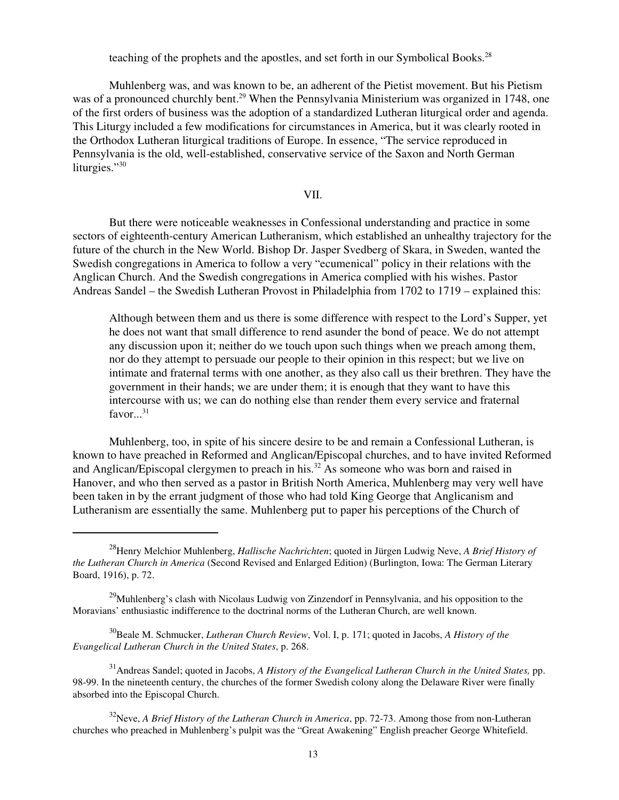teaching of the prophets and the apostles, and set forth in our Symbolical Books.<sup>28</sup>

Muhlenberg was, and was known to be, an adherent of the Pietist movement. But his Pietism was of a pronounced churchly bent.<sup>29</sup> When the Pennsylvania Ministerium was organized in 1748, one of the first orders of business was the adoption of a standardized Lutheran liturgical order and agenda. This Liturgy included a few modifications for circumstances in America, but it was clearly rooted in the Orthodox Lutheran liturgical traditions of Europe. In essence, "The service reproduced in Pennsylvania is the old, well-established, conservative service of the Saxon and North German liturgies."30

VII.

But there were noticeable weaknesses in Confessional understanding and practice in some sectors of eighteenth-century American Lutheranism, which established an unhealthy trajectory for the future of the church in the New World. Bishop Dr. Jasper Svedberg of Skara, in Sweden, wanted the Swedish congregations in America to follow a very "ecumenical" policy in their relations with the Anglican Church. And the Swedish congregations in America complied with his wishes. Pastor Andreas Sandel – the Swedish Lutheran Provost in Philadelphia from 1702 to 1719 – explained this:

Although between them and us there is some difference with respect to the Lord's Supper, yet he does not want that small difference to rend asunder the bond of peace. We do not attempt any discussion upon it; neither do we touch upon such things when we preach among them, nor do they attempt to persuade our people to their opinion in this respect; but we live on intimate and fraternal terms with one another, as they also call us their brethren. They have the government in their hands; we are under them; it is enough that they want to have this intercourse with us; we can do nothing else than render them every service and fraternal favor... $31$ 

Muhlenberg, too, in spite of his sincere desire to be and remain a Confessional Lutheran, is known to have preached in Reformed and Anglican/Episcopal churches, and to have invited Reformed and Anglican/Episcopal clergymen to preach in his.<sup>32</sup> As someone who was born and raised in Hanover, and who then served as a pastor in British North America, Muhlenberg may very well have been taken in by the errant judgment of those who had told King George that Anglicanism and Lutheranism are essentially the same. Muhlenberg put to paper his perceptions of the Church of

<sup>28</sup>Henry Melchior Muhlenberg, *Hallische Nachrichten*; quoted in Jürgen Ludwig Neve, *A Brief History of the Lutheran Church in America* (Second Revised and Enlarged Edition) (Burlington, Iowa: The German Literary Board, 1916), p. 72.

<sup>&</sup>lt;sup>29</sup>Muhlenberg's clash with Nicolaus Ludwig von Zinzendorf in Pennsylvania, and his opposition to the Moravians' enthusiastic indifference to the doctrinal norms of the Lutheran Church, are well known.

<sup>30</sup>Beale M. Schmucker, *Lutheran Church Review*, Vol. I, p. 171; quoted in Jacobs, *A History of the Evangelical Lutheran Church in the United States*, p. 268.

<sup>31</sup>Andreas Sandel; quoted in Jacobs, *A History of the Evangelical Lutheran Church in the United States,* pp. 98-99. In the nineteenth century, the churches of the former Swedish colony along the Delaware River were finally absorbed into the Episcopal Church.

<sup>32</sup>Neve, *A Brief History of the Lutheran Church in America*, pp. 72-73. Among those from non-Lutheran churches who preached in Muhlenberg's pulpit was the "Great Awakening" English preacher George Whitefield.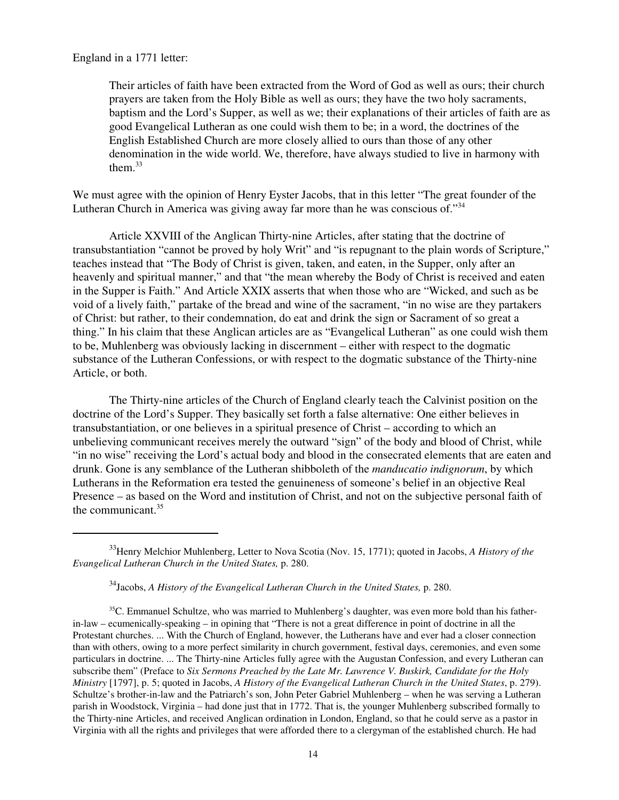England in a 1771 letter:

Their articles of faith have been extracted from the Word of God as well as ours; their church prayers are taken from the Holy Bible as well as ours; they have the two holy sacraments, baptism and the Lord's Supper, as well as we; their explanations of their articles of faith are as good Evangelical Lutheran as one could wish them to be; in a word, the doctrines of the English Established Church are more closely allied to ours than those of any other denomination in the wide world. We, therefore, have always studied to live in harmony with them. $33$ 

We must agree with the opinion of Henry Eyster Jacobs, that in this letter "The great founder of the Lutheran Church in America was giving away far more than he was conscious of."<sup>34</sup>

Article XXVIII of the Anglican Thirty-nine Articles, after stating that the doctrine of transubstantiation "cannot be proved by holy Writ" and "is repugnant to the plain words of Scripture," teaches instead that "The Body of Christ is given, taken, and eaten, in the Supper, only after an heavenly and spiritual manner," and that "the mean whereby the Body of Christ is received and eaten in the Supper is Faith." And Article XXIX asserts that when those who are "Wicked, and such as be void of a lively faith," partake of the bread and wine of the sacrament, "in no wise are they partakers of Christ: but rather, to their condemnation, do eat and drink the sign or Sacrament of so great a thing." In his claim that these Anglican articles are as "Evangelical Lutheran" as one could wish them to be, Muhlenberg was obviously lacking in discernment – either with respect to the dogmatic substance of the Lutheran Confessions, or with respect to the dogmatic substance of the Thirty-nine Article, or both.

The Thirty-nine articles of the Church of England clearly teach the Calvinist position on the doctrine of the Lord's Supper. They basically set forth a false alternative: One either believes in transubstantiation, or one believes in a spiritual presence of Christ – according to which an unbelieving communicant receives merely the outward "sign" of the body and blood of Christ, while "in no wise" receiving the Lord's actual body and blood in the consecrated elements that are eaten and drunk. Gone is any semblance of the Lutheran shibboleth of the *manducatio indignorum*, by which Lutherans in the Reformation era tested the genuineness of someone's belief in an objective Real Presence – as based on the Word and institution of Christ, and not on the subjective personal faith of the communicant.35

<sup>33</sup>Henry Melchior Muhlenberg, Letter to Nova Scotia (Nov. 15, 1771); quoted in Jacobs, *A History of the Evangelical Lutheran Church in the United States,* p. 280.

<sup>34</sup>Jacobs, *A History of the Evangelical Lutheran Church in the United States,* p. 280.

<sup>&</sup>lt;sup>35</sup>C. Emmanuel Schultze, who was married to Muhlenberg's daughter, was even more bold than his fatherin-law – ecumenically-speaking – in opining that "There is not a great difference in point of doctrine in all the Protestant churches. ... With the Church of England, however, the Lutherans have and ever had a closer connection than with others, owing to a more perfect similarity in church government, festival days, ceremonies, and even some particulars in doctrine. ... The Thirty-nine Articles fully agree with the Augustan Confession, and every Lutheran can subscribe them" (Preface to *Six Sermons Preached by the Late Mr. Lawrence V. Buskirk, Candidate for the Holy Ministry* [1797], p. 5; quoted in Jacobs, *A History of the Evangelical Lutheran Church in the United States*, p. 279). Schultze's brother-in-law and the Patriarch's son, John Peter Gabriel Muhlenberg – when he was serving a Lutheran parish in Woodstock, Virginia – had done just that in 1772. That is, the younger Muhlenberg subscribed formally to the Thirty-nine Articles, and received Anglican ordination in London, England, so that he could serve as a pastor in Virginia with all the rights and privileges that were afforded there to a clergyman of the established church. He had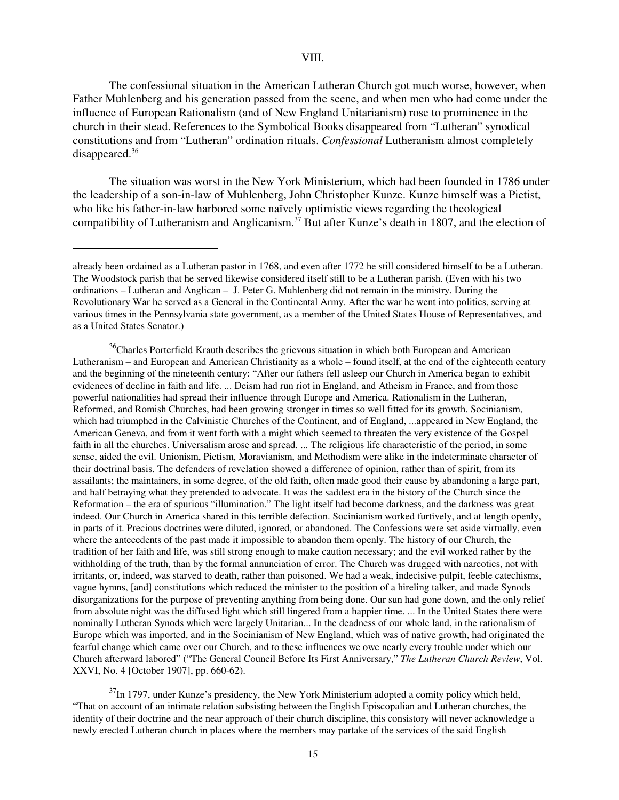## VIII.

The confessional situation in the American Lutheran Church got much worse, however, when Father Muhlenberg and his generation passed from the scene, and when men who had come under the influence of European Rationalism (and of New England Unitarianism) rose to prominence in the church in their stead. References to the Symbolical Books disappeared from "Lutheran" synodical constitutions and from "Lutheran" ordination rituals. *Confessional* Lutheranism almost completely disappeared.<sup>36</sup>

The situation was worst in the New York Ministerium, which had been founded in 1786 under the leadership of a son-in-law of Muhlenberg, John Christopher Kunze. Kunze himself was a Pietist, who like his father-in-law harbored some naïvely optimistic views regarding the theological compatibility of Lutheranism and Anglicanism.37 But after Kunze's death in 1807, and the election of

already been ordained as a Lutheran pastor in 1768, and even after 1772 he still considered himself to be a Lutheran. The Woodstock parish that he served likewise considered itself still to be a Lutheran parish. (Even with his two ordinations – Lutheran and Anglican – J. Peter G. Muhlenberg did not remain in the ministry. During the Revolutionary War he served as a General in the Continental Army. After the war he went into politics, serving at various times in the Pennsylvania state government, as a member of the United States House of Representatives, and as a United States Senator.)

<sup>&</sup>lt;sup>36</sup>Charles Porterfield Krauth describes the grievous situation in which both European and American Lutheranism – and European and American Christianity as a whole – found itself, at the end of the eighteenth century and the beginning of the nineteenth century: "After our fathers fell asleep our Church in America began to exhibit evidences of decline in faith and life. ... Deism had run riot in England, and Atheism in France, and from those powerful nationalities had spread their influence through Europe and America. Rationalism in the Lutheran, Reformed, and Romish Churches, had been growing stronger in times so well fitted for its growth. Socinianism, which had triumphed in the Calvinistic Churches of the Continent, and of England, ...appeared in New England, the American Geneva, and from it went forth with a might which seemed to threaten the very existence of the Gospel faith in all the churches. Universalism arose and spread. ... The religious life characteristic of the period, in some sense, aided the evil. Unionism, Pietism, Moravianism, and Methodism were alike in the indeterminate character of their doctrinal basis. The defenders of revelation showed a difference of opinion, rather than of spirit, from its assailants; the maintainers, in some degree, of the old faith, often made good their cause by abandoning a large part, and half betraying what they pretended to advocate. It was the saddest era in the history of the Church since the Reformation – the era of spurious "illumination." The light itself had become darkness, and the darkness was great indeed. Our Church in America shared in this terrible defection. Socinianism worked furtively, and at length openly, in parts of it. Precious doctrines were diluted, ignored, or abandoned. The Confessions were set aside virtually, even where the antecedents of the past made it impossible to abandon them openly. The history of our Church, the tradition of her faith and life, was still strong enough to make caution necessary; and the evil worked rather by the withholding of the truth, than by the formal annunciation of error. The Church was drugged with narcotics, not with irritants, or, indeed, was starved to death, rather than poisoned. We had a weak, indecisive pulpit, feeble catechisms, vague hymns, [and] constitutions which reduced the minister to the position of a hireling talker, and made Synods disorganizations for the purpose of preventing anything from being done. Our sun had gone down, and the only relief from absolute night was the diffused light which still lingered from a happier time. ... In the United States there were nominally Lutheran Synods which were largely Unitarian... In the deadness of our whole land, in the rationalism of Europe which was imported, and in the Socinianism of New England, which was of native growth, had originated the fearful change which came over our Church, and to these influences we owe nearly every trouble under which our Church afterward labored" ("The General Council Before Its First Anniversary," *The Lutheran Church Review*, Vol. XXVI, No. 4 [October 1907], pp. 660-62).

 $37$ In 1797, under Kunze's presidency, the New York Ministerium adopted a comity policy which held, "That on account of an intimate relation subsisting between the English Episcopalian and Lutheran churches, the identity of their doctrine and the near approach of their church discipline, this consistory will never acknowledge a newly erected Lutheran church in places where the members may partake of the services of the said English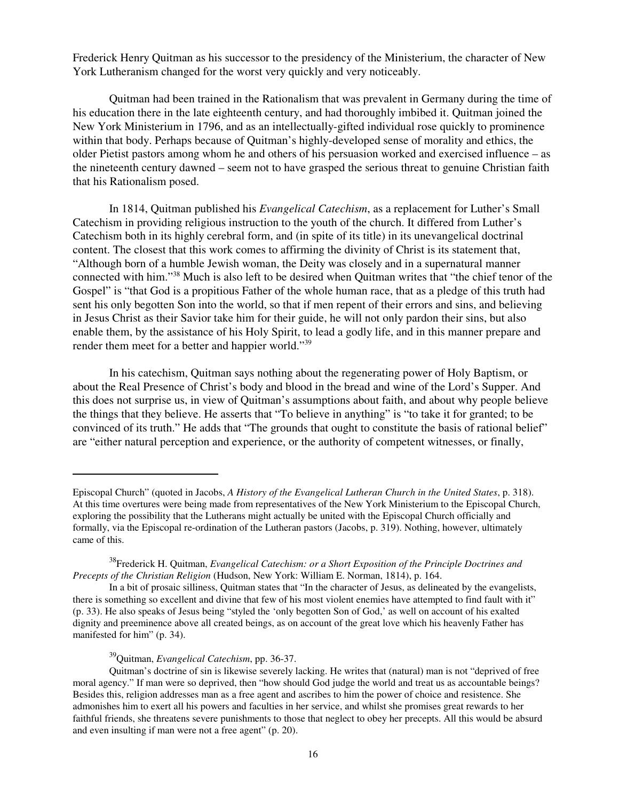Frederick Henry Quitman as his successor to the presidency of the Ministerium, the character of New York Lutheranism changed for the worst very quickly and very noticeably.

Quitman had been trained in the Rationalism that was prevalent in Germany during the time of his education there in the late eighteenth century, and had thoroughly imbibed it. Quitman joined the New York Ministerium in 1796, and as an intellectually-gifted individual rose quickly to prominence within that body. Perhaps because of Quitman's highly-developed sense of morality and ethics, the older Pietist pastors among whom he and others of his persuasion worked and exercised influence – as the nineteenth century dawned – seem not to have grasped the serious threat to genuine Christian faith that his Rationalism posed.

In 1814, Quitman published his *Evangelical Catechism*, as a replacement for Luther's Small Catechism in providing religious instruction to the youth of the church. It differed from Luther's Catechism both in its highly cerebral form, and (in spite of its title) in its unevangelical doctrinal content. The closest that this work comes to affirming the divinity of Christ is its statement that, "Although born of a humble Jewish woman, the Deity was closely and in a supernatural manner connected with him."<sup>38</sup> Much is also left to be desired when Quitman writes that "the chief tenor of the Gospel" is "that God is a propitious Father of the whole human race, that as a pledge of this truth had sent his only begotten Son into the world, so that if men repent of their errors and sins, and believing in Jesus Christ as their Savior take him for their guide, he will not only pardon their sins, but also enable them, by the assistance of his Holy Spirit, to lead a godly life, and in this manner prepare and render them meet for a better and happier world."<sup>39</sup>

In his catechism, Quitman says nothing about the regenerating power of Holy Baptism, or about the Real Presence of Christ's body and blood in the bread and wine of the Lord's Supper. And this does not surprise us, in view of Quitman's assumptions about faith, and about why people believe the things that they believe. He asserts that "To believe in anything" is "to take it for granted; to be convinced of its truth." He adds that "The grounds that ought to constitute the basis of rational belief" are "either natural perception and experience, or the authority of competent witnesses, or finally,

## <sup>39</sup>Quitman, *Evangelical Catechism*, pp. 36-37.

Episcopal Church" (quoted in Jacobs, *A History of the Evangelical Lutheran Church in the United States*, p. 318). At this time overtures were being made from representatives of the New York Ministerium to the Episcopal Church, exploring the possibility that the Lutherans might actually be united with the Episcopal Church officially and formally, via the Episcopal re-ordination of the Lutheran pastors (Jacobs, p. 319). Nothing, however, ultimately came of this.

<sup>38</sup>Frederick H. Quitman, *Evangelical Catechism: or a Short Exposition of the Principle Doctrines and Precepts of the Christian Religion* (Hudson, New York: William E. Norman, 1814), p. 164.

In a bit of prosaic silliness, Quitman states that "In the character of Jesus, as delineated by the evangelists, there is something so excellent and divine that few of his most violent enemies have attempted to find fault with it" (p. 33). He also speaks of Jesus being "styled the 'only begotten Son of God,' as well on account of his exalted dignity and preeminence above all created beings, as on account of the great love which his heavenly Father has manifested for him" (p. 34).

Quitman's doctrine of sin is likewise severely lacking. He writes that (natural) man is not "deprived of free moral agency." If man were so deprived, then "how should God judge the world and treat us as accountable beings? Besides this, religion addresses man as a free agent and ascribes to him the power of choice and resistence. She admonishes him to exert all his powers and faculties in her service, and whilst she promises great rewards to her faithful friends, she threatens severe punishments to those that neglect to obey her precepts. All this would be absurd and even insulting if man were not a free agent" (p. 20).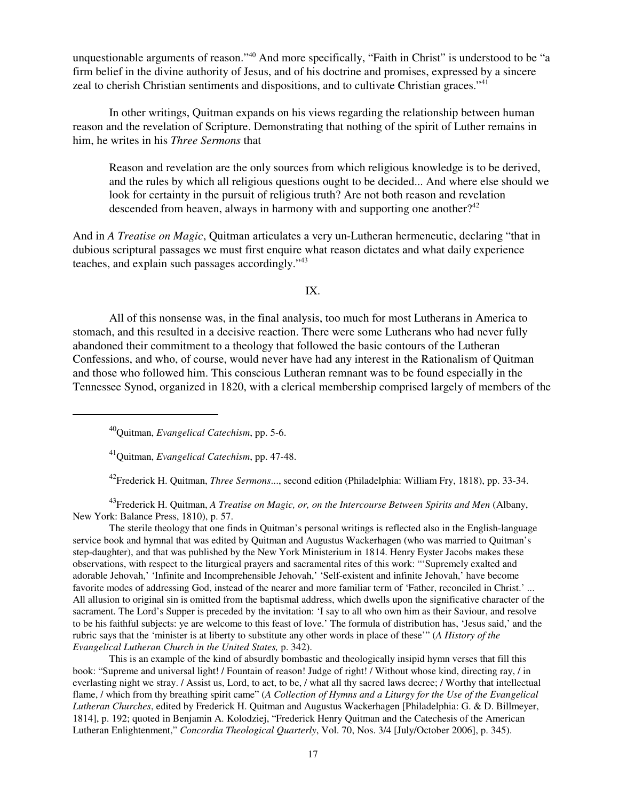unquestionable arguments of reason."<sup>40</sup> And more specifically, "Faith in Christ" is understood to be "a firm belief in the divine authority of Jesus, and of his doctrine and promises, expressed by a sincere zeal to cherish Christian sentiments and dispositions, and to cultivate Christian graces."<sup>41</sup>

In other writings, Quitman expands on his views regarding the relationship between human reason and the revelation of Scripture. Demonstrating that nothing of the spirit of Luther remains in him, he writes in his *Three Sermons* that

Reason and revelation are the only sources from which religious knowledge is to be derived, and the rules by which all religious questions ought to be decided... And where else should we look for certainty in the pursuit of religious truth? Are not both reason and revelation descended from heaven, always in harmony with and supporting one another?<sup>42</sup>

And in *A Treatise on Magic*, Quitman articulates a very un-Lutheran hermeneutic, declaring "that in dubious scriptural passages we must first enquire what reason dictates and what daily experience teaches, and explain such passages accordingly."<sup>43</sup>

## IX.

All of this nonsense was, in the final analysis, too much for most Lutherans in America to stomach, and this resulted in a decisive reaction. There were some Lutherans who had never fully abandoned their commitment to a theology that followed the basic contours of the Lutheran Confessions, and who, of course, would never have had any interest in the Rationalism of Quitman and those who followed him. This conscious Lutheran remnant was to be found especially in the Tennessee Synod, organized in 1820, with a clerical membership comprised largely of members of the

<sup>41</sup>Quitman, *Evangelical Catechism*, pp. 47-48.

<sup>42</sup>Frederick H. Quitman, *Three Sermons*..., second edition (Philadelphia: William Fry, 1818), pp. 33-34.

<sup>43</sup>Frederick H. Quitman, *A Treatise on Magic, or, on the Intercourse Between Spirits and Men (Albany,* New York: Balance Press, 1810), p. 57.

The sterile theology that one finds in Quitman's personal writings is reflected also in the English-language service book and hymnal that was edited by Quitman and Augustus Wackerhagen (who was married to Quitman's step-daughter), and that was published by the New York Ministerium in 1814. Henry Eyster Jacobs makes these observations, with respect to the liturgical prayers and sacramental rites of this work: "'Supremely exalted and adorable Jehovah,' 'Infinite and Incomprehensible Jehovah,' 'Self-existent and infinite Jehovah,' have become favorite modes of addressing God, instead of the nearer and more familiar term of 'Father, reconciled in Christ.' ... All allusion to original sin is omitted from the baptismal address, which dwells upon the significative character of the sacrament. The Lord's Supper is preceded by the invitation: 'I say to all who own him as their Saviour, and resolve to be his faithful subjects: ye are welcome to this feast of love.' The formula of distribution has, 'Jesus said,' and the rubric says that the 'minister is at liberty to substitute any other words in place of these'" (*A History of the Evangelical Lutheran Church in the United States,* p. 342).

This is an example of the kind of absurdly bombastic and theologically insipid hymn verses that fill this book: "Supreme and universal light! / Fountain of reason! Judge of right! / Without whose kind, directing ray, / in everlasting night we stray. / Assist us, Lord, to act, to be, / what all thy sacred laws decree; / Worthy that intellectual flame, / which from thy breathing spirit came" (*A Collection of Hymns and a Liturgy for the Use of the Evangelical Lutheran Churches*, edited by Frederick H. Quitman and Augustus Wackerhagen [Philadelphia: G. & D. Billmeyer, 1814], p. 192; quoted in Benjamin A. Kolodziej, "Frederick Henry Quitman and the Catechesis of the American Lutheran Enlightenment," *Concordia Theological Quarterly*, Vol. 70, Nos. 3/4 [July/October 2006], p. 345).

<sup>40</sup>Quitman, *Evangelical Catechism*, pp. 5-6.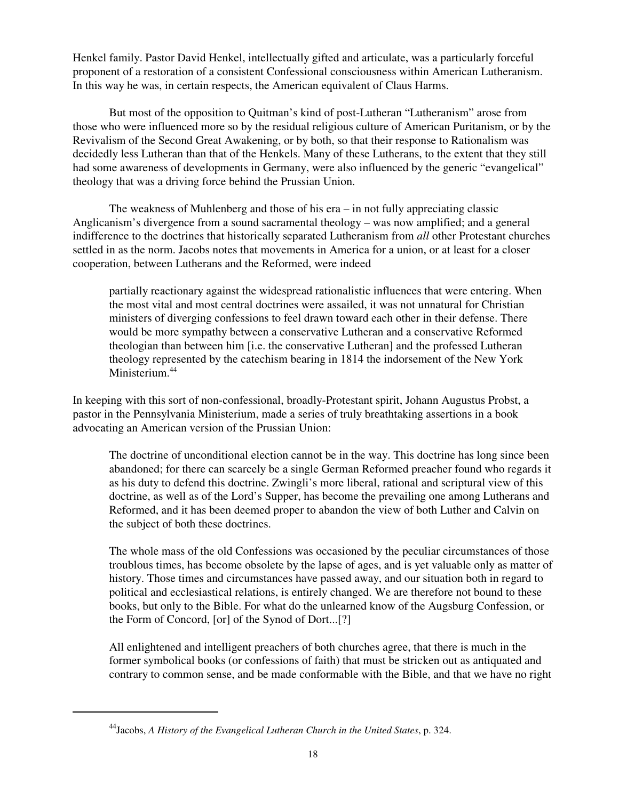Henkel family. Pastor David Henkel, intellectually gifted and articulate, was a particularly forceful proponent of a restoration of a consistent Confessional consciousness within American Lutheranism. In this way he was, in certain respects, the American equivalent of Claus Harms.

But most of the opposition to Quitman's kind of post-Lutheran "Lutheranism" arose from those who were influenced more so by the residual religious culture of American Puritanism, or by the Revivalism of the Second Great Awakening, or by both, so that their response to Rationalism was decidedly less Lutheran than that of the Henkels. Many of these Lutherans, to the extent that they still had some awareness of developments in Germany, were also influenced by the generic "evangelical" theology that was a driving force behind the Prussian Union.

The weakness of Muhlenberg and those of his era – in not fully appreciating classic Anglicanism's divergence from a sound sacramental theology – was now amplified; and a general indifference to the doctrines that historically separated Lutheranism from *all* other Protestant churches settled in as the norm. Jacobs notes that movements in America for a union, or at least for a closer cooperation, between Lutherans and the Reformed, were indeed

partially reactionary against the widespread rationalistic influences that were entering. When the most vital and most central doctrines were assailed, it was not unnatural for Christian ministers of diverging confessions to feel drawn toward each other in their defense. There would be more sympathy between a conservative Lutheran and a conservative Reformed theologian than between him [i.e. the conservative Lutheran] and the professed Lutheran theology represented by the catechism bearing in 1814 the indorsement of the New York Ministerium.<sup>44</sup>

In keeping with this sort of non-confessional, broadly-Protestant spirit, Johann Augustus Probst, a pastor in the Pennsylvania Ministerium, made a series of truly breathtaking assertions in a book advocating an American version of the Prussian Union:

The doctrine of unconditional election cannot be in the way. This doctrine has long since been abandoned; for there can scarcely be a single German Reformed preacher found who regards it as his duty to defend this doctrine. Zwingli's more liberal, rational and scriptural view of this doctrine, as well as of the Lord's Supper, has become the prevailing one among Lutherans and Reformed, and it has been deemed proper to abandon the view of both Luther and Calvin on the subject of both these doctrines.

The whole mass of the old Confessions was occasioned by the peculiar circumstances of those troublous times, has become obsolete by the lapse of ages, and is yet valuable only as matter of history. Those times and circumstances have passed away, and our situation both in regard to political and ecclesiastical relations, is entirely changed. We are therefore not bound to these books, but only to the Bible. For what do the unlearned know of the Augsburg Confession, or the Form of Concord, [or] of the Synod of Dort...[?]

All enlightened and intelligent preachers of both churches agree, that there is much in the former symbolical books (or confessions of faith) that must be stricken out as antiquated and contrary to common sense, and be made conformable with the Bible, and that we have no right

<sup>44</sup>Jacobs, *A History of the Evangelical Lutheran Church in the United States*, p. 324.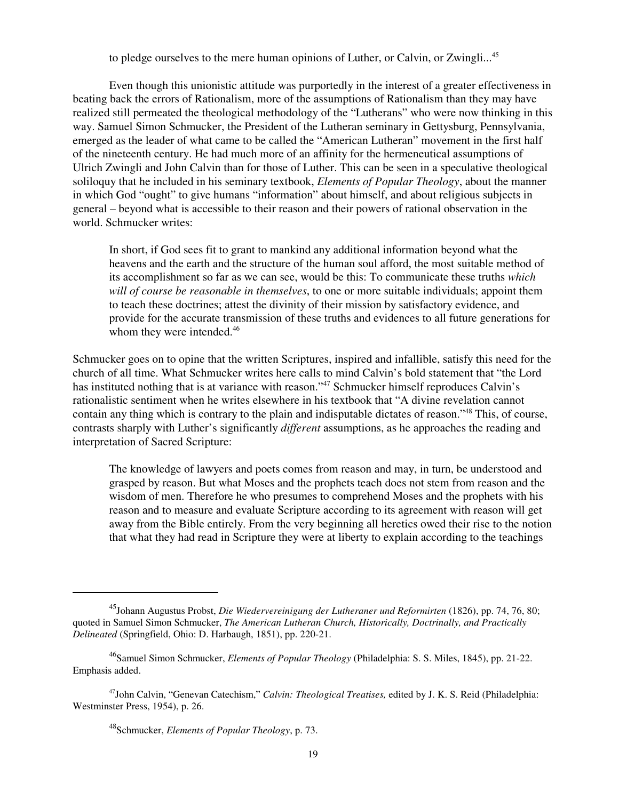to pledge ourselves to the mere human opinions of Luther, or Calvin, or Zwingli...<sup>45</sup>

Even though this unionistic attitude was purportedly in the interest of a greater effectiveness in beating back the errors of Rationalism, more of the assumptions of Rationalism than they may have realized still permeated the theological methodology of the "Lutherans" who were now thinking in this way. Samuel Simon Schmucker, the President of the Lutheran seminary in Gettysburg, Pennsylvania, emerged as the leader of what came to be called the "American Lutheran" movement in the first half of the nineteenth century. He had much more of an affinity for the hermeneutical assumptions of Ulrich Zwingli and John Calvin than for those of Luther. This can be seen in a speculative theological soliloquy that he included in his seminary textbook, *Elements of Popular Theology*, about the manner in which God "ought" to give humans "information" about himself, and about religious subjects in general – beyond what is accessible to their reason and their powers of rational observation in the world. Schmucker writes:

In short, if God sees fit to grant to mankind any additional information beyond what the heavens and the earth and the structure of the human soul afford, the most suitable method of its accomplishment so far as we can see, would be this: To communicate these truths *which will of course be reasonable in themselves*, to one or more suitable individuals; appoint them to teach these doctrines; attest the divinity of their mission by satisfactory evidence, and provide for the accurate transmission of these truths and evidences to all future generations for whom they were intended.<sup>46</sup>

Schmucker goes on to opine that the written Scriptures, inspired and infallible, satisfy this need for the church of all time. What Schmucker writes here calls to mind Calvin's bold statement that "the Lord has instituted nothing that is at variance with reason."<sup>47</sup> Schmucker himself reproduces Calvin's rationalistic sentiment when he writes elsewhere in his textbook that "A divine revelation cannot contain any thing which is contrary to the plain and indisputable dictates of reason."<sup>48</sup> This, of course, contrasts sharply with Luther's significantly *different* assumptions, as he approaches the reading and interpretation of Sacred Scripture:

The knowledge of lawyers and poets comes from reason and may, in turn, be understood and grasped by reason. But what Moses and the prophets teach does not stem from reason and the wisdom of men. Therefore he who presumes to comprehend Moses and the prophets with his reason and to measure and evaluate Scripture according to its agreement with reason will get away from the Bible entirely. From the very beginning all heretics owed their rise to the notion that what they had read in Scripture they were at liberty to explain according to the teachings

<sup>45</sup>Johann Augustus Probst, *Die Wiedervereinigung der Lutheraner und Reformirten* (1826), pp. 74, 76, 80; quoted in Samuel Simon Schmucker, *The American Lutheran Church, Historically, Doctrinally, and Practically Delineated* (Springfield, Ohio: D. Harbaugh, 1851), pp. 220-21.

<sup>46</sup>Samuel Simon Schmucker, *Elements of Popular Theology* (Philadelphia: S. S. Miles, 1845), pp. 21-22. Emphasis added.

<sup>47</sup>John Calvin, "Genevan Catechism," *Calvin: Theological Treatises,* edited by J. K. S. Reid (Philadelphia: Westminster Press, 1954), p. 26.

<sup>48</sup>Schmucker, *Elements of Popular Theology*, p. 73.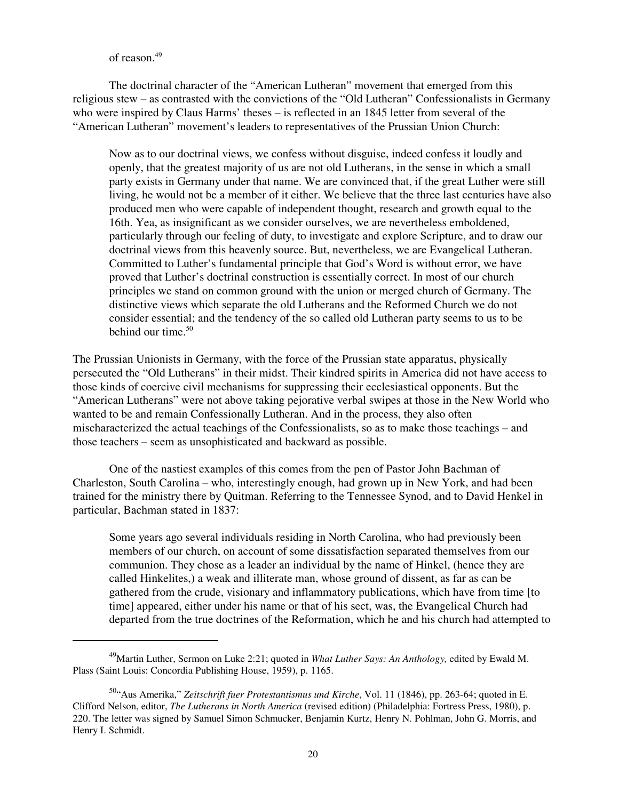of reason.<sup>49</sup>

The doctrinal character of the "American Lutheran" movement that emerged from this religious stew – as contrasted with the convictions of the "Old Lutheran" Confessionalists in Germany who were inspired by Claus Harms' theses – is reflected in an 1845 letter from several of the "American Lutheran" movement's leaders to representatives of the Prussian Union Church:

Now as to our doctrinal views, we confess without disguise, indeed confess it loudly and openly, that the greatest majority of us are not old Lutherans, in the sense in which a small party exists in Germany under that name. We are convinced that, if the great Luther were still living, he would not be a member of it either. We believe that the three last centuries have also produced men who were capable of independent thought, research and growth equal to the 16th. Yea, as insignificant as we consider ourselves, we are nevertheless emboldened, particularly through our feeling of duty, to investigate and explore Scripture, and to draw our doctrinal views from this heavenly source. But, nevertheless, we are Evangelical Lutheran. Committed to Luther's fundamental principle that God's Word is without error, we have proved that Luther's doctrinal construction is essentially correct. In most of our church principles we stand on common ground with the union or merged church of Germany. The distinctive views which separate the old Lutherans and the Reformed Church we do not consider essential; and the tendency of the so called old Lutheran party seems to us to be behind our time. $50$ 

The Prussian Unionists in Germany, with the force of the Prussian state apparatus, physically persecuted the "Old Lutherans" in their midst. Their kindred spirits in America did not have access to those kinds of coercive civil mechanisms for suppressing their ecclesiastical opponents. But the "American Lutherans" were not above taking pejorative verbal swipes at those in the New World who wanted to be and remain Confessionally Lutheran. And in the process, they also often mischaracterized the actual teachings of the Confessionalists, so as to make those teachings – and those teachers – seem as unsophisticated and backward as possible.

One of the nastiest examples of this comes from the pen of Pastor John Bachman of Charleston, South Carolina – who, interestingly enough, had grown up in New York, and had been trained for the ministry there by Quitman. Referring to the Tennessee Synod, and to David Henkel in particular, Bachman stated in 1837:

Some years ago several individuals residing in North Carolina, who had previously been members of our church, on account of some dissatisfaction separated themselves from our communion. They chose as a leader an individual by the name of Hinkel, (hence they are called Hinkelites,) a weak and illiterate man, whose ground of dissent, as far as can be gathered from the crude, visionary and inflammatory publications, which have from time [to time] appeared, either under his name or that of his sect, was, the Evangelical Church had departed from the true doctrines of the Reformation, which he and his church had attempted to

<sup>49</sup>Martin Luther, Sermon on Luke 2:21; quoted in *What Luther Says: An Anthology,* edited by Ewald M. Plass (Saint Louis: Concordia Publishing House, 1959), p. 1165.

<sup>&</sup>lt;sup>50.</sup> Aus Amerika," *Zeitschrift fuer Protestantismus und Kirche*, Vol. 11 (1846), pp. 263-64; quoted in E. Clifford Nelson, editor, *The Lutherans in North America* (revised edition) (Philadelphia: Fortress Press, 1980), p. 220. The letter was signed by Samuel Simon Schmucker, Benjamin Kurtz, Henry N. Pohlman, John G. Morris, and Henry I. Schmidt.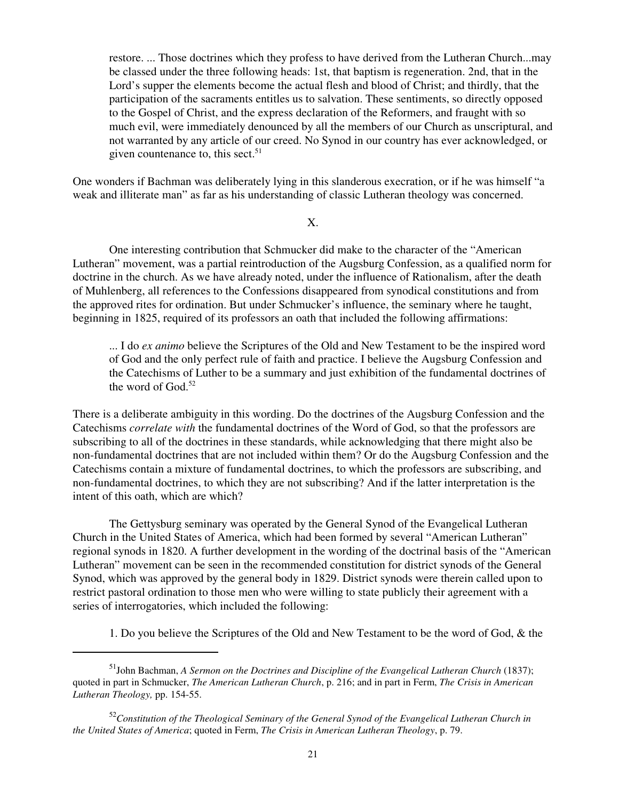restore. ... Those doctrines which they profess to have derived from the Lutheran Church...may be classed under the three following heads: 1st, that baptism is regeneration. 2nd, that in the Lord's supper the elements become the actual flesh and blood of Christ; and thirdly, that the participation of the sacraments entitles us to salvation. These sentiments, so directly opposed to the Gospel of Christ, and the express declaration of the Reformers, and fraught with so much evil, were immediately denounced by all the members of our Church as unscriptural, and not warranted by any article of our creed. No Synod in our country has ever acknowledged, or given countenance to, this sect. $51$ 

One wonders if Bachman was deliberately lying in this slanderous execration, or if he was himself "a weak and illiterate man" as far as his understanding of classic Lutheran theology was concerned.

# X.

One interesting contribution that Schmucker did make to the character of the "American Lutheran" movement, was a partial reintroduction of the Augsburg Confession, as a qualified norm for doctrine in the church. As we have already noted, under the influence of Rationalism, after the death of Muhlenberg, all references to the Confessions disappeared from synodical constitutions and from the approved rites for ordination. But under Schmucker's influence, the seminary where he taught, beginning in 1825, required of its professors an oath that included the following affirmations:

... I do *ex animo* believe the Scriptures of the Old and New Testament to be the inspired word of God and the only perfect rule of faith and practice. I believe the Augsburg Confession and the Catechisms of Luther to be a summary and just exhibition of the fundamental doctrines of the word of  $God.<sup>52</sup>$ 

There is a deliberate ambiguity in this wording. Do the doctrines of the Augsburg Confession and the Catechisms *correlate with* the fundamental doctrines of the Word of God, so that the professors are subscribing to all of the doctrines in these standards, while acknowledging that there might also be non-fundamental doctrines that are not included within them? Or do the Augsburg Confession and the Catechisms contain a mixture of fundamental doctrines, to which the professors are subscribing, and non-fundamental doctrines, to which they are not subscribing? And if the latter interpretation is the intent of this oath, which are which?

The Gettysburg seminary was operated by the General Synod of the Evangelical Lutheran Church in the United States of America, which had been formed by several "American Lutheran" regional synods in 1820. A further development in the wording of the doctrinal basis of the "American Lutheran" movement can be seen in the recommended constitution for district synods of the General Synod, which was approved by the general body in 1829. District synods were therein called upon to restrict pastoral ordination to those men who were willing to state publicly their agreement with a series of interrogatories, which included the following:

1. Do you believe the Scriptures of the Old and New Testament to be the word of God, & the

<sup>51</sup>John Bachman, *A Sermon on the Doctrines and Discipline of the Evangelical Lutheran Church* (1837); quoted in part in Schmucker, *The American Lutheran Church*, p. 216; and in part in Ferm, *The Crisis in American Lutheran Theology,* pp. 154-55.

<sup>52</sup>*Constitution of the Theological Seminary of the General Synod of the Evangelical Lutheran Church in the United States of America*; quoted in Ferm, *The Crisis in American Lutheran Theology*, p. 79.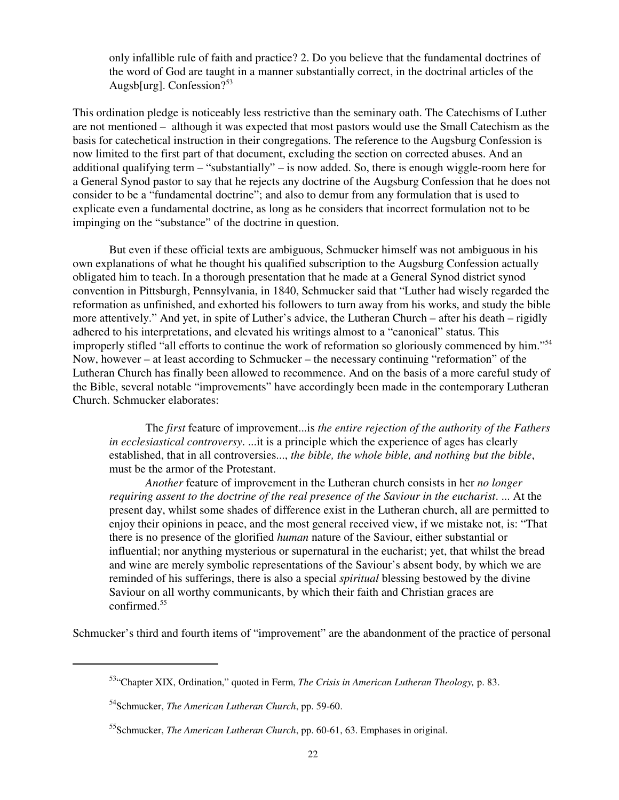only infallible rule of faith and practice? 2. Do you believe that the fundamental doctrines of the word of God are taught in a manner substantially correct, in the doctrinal articles of the Augsb[urg]. Confession?<sup>53</sup>

This ordination pledge is noticeably less restrictive than the seminary oath. The Catechisms of Luther are not mentioned – although it was expected that most pastors would use the Small Catechism as the basis for catechetical instruction in their congregations. The reference to the Augsburg Confession is now limited to the first part of that document, excluding the section on corrected abuses. And an additional qualifying term – "substantially" – is now added. So, there is enough wiggle-room here for a General Synod pastor to say that he rejects any doctrine of the Augsburg Confession that he does not consider to be a "fundamental doctrine"; and also to demur from any formulation that is used to explicate even a fundamental doctrine, as long as he considers that incorrect formulation not to be impinging on the "substance" of the doctrine in question.

But even if these official texts are ambiguous, Schmucker himself was not ambiguous in his own explanations of what he thought his qualified subscription to the Augsburg Confession actually obligated him to teach. In a thorough presentation that he made at a General Synod district synod convention in Pittsburgh, Pennsylvania, in 1840, Schmucker said that "Luther had wisely regarded the reformation as unfinished, and exhorted his followers to turn away from his works, and study the bible more attentively." And yet, in spite of Luther's advice, the Lutheran Church – after his death – rigidly adhered to his interpretations, and elevated his writings almost to a "canonical" status. This improperly stifled "all efforts to continue the work of reformation so gloriously commenced by him."<sup>54</sup> Now, however – at least according to Schmucker – the necessary continuing "reformation" of the Lutheran Church has finally been allowed to recommence. And on the basis of a more careful study of the Bible, several notable "improvements" have accordingly been made in the contemporary Lutheran Church. Schmucker elaborates:

The *first* feature of improvement...is *the entire rejection of the authority of the Fathers in ecclesiastical controversy*. ...it is a principle which the experience of ages has clearly established, that in all controversies..., *the bible, the whole bible, and nothing but the bible*, must be the armor of the Protestant.

*Another* feature of improvement in the Lutheran church consists in her *no longer requiring assent to the doctrine of the real presence of the Saviour in the eucharist.* ... At the present day, whilst some shades of difference exist in the Lutheran church, all are permitted to enjoy their opinions in peace, and the most general received view, if we mistake not, is: "That there is no presence of the glorified *human* nature of the Saviour, either substantial or influential; nor anything mysterious or supernatural in the eucharist; yet, that whilst the bread and wine are merely symbolic representations of the Saviour's absent body, by which we are reminded of his sufferings, there is also a special *spiritual* blessing bestowed by the divine Saviour on all worthy communicants, by which their faith and Christian graces are confirmed.<sup>55</sup>

Schmucker's third and fourth items of "improvement" are the abandonment of the practice of personal

<sup>53</sup>"Chapter XIX, Ordination," quoted in Ferm, *The Crisis in American Lutheran Theology,* p. 83.

<sup>54</sup>Schmucker, *The American Lutheran Church*, pp. 59-60.

<sup>55</sup>Schmucker, *The American Lutheran Church*, pp. 60-61, 63. Emphases in original.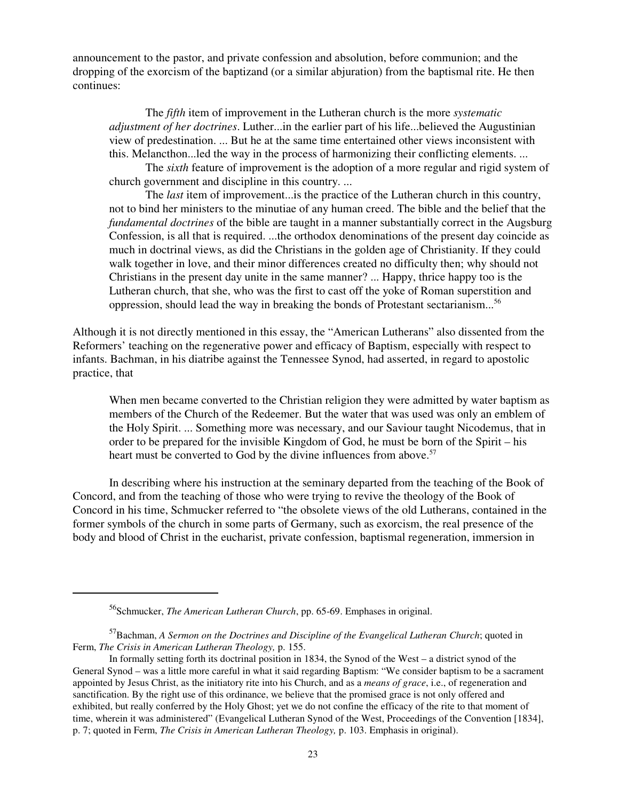announcement to the pastor, and private confession and absolution, before communion; and the dropping of the exorcism of the baptizand (or a similar abjuration) from the baptismal rite. He then continues:

The *fifth* item of improvement in the Lutheran church is the more *systematic adjustment of her doctrines*. Luther...in the earlier part of his life...believed the Augustinian view of predestination. ... But he at the same time entertained other views inconsistent with this. Melancthon...led the way in the process of harmonizing their conflicting elements. ...

The *sixth* feature of improvement is the adoption of a more regular and rigid system of church government and discipline in this country. ...

The *last* item of improvement...is the practice of the Lutheran church in this country, not to bind her ministers to the minutiae of any human creed. The bible and the belief that the *fundamental doctrines* of the bible are taught in a manner substantially correct in the Augsburg Confession, is all that is required. ...the orthodox denominations of the present day coincide as much in doctrinal views, as did the Christians in the golden age of Christianity. If they could walk together in love, and their minor differences created no difficulty then; why should not Christians in the present day unite in the same manner? ... Happy, thrice happy too is the Lutheran church, that she, who was the first to cast off the yoke of Roman superstition and oppression, should lead the way in breaking the bonds of Protestant sectarianism...<sup>56</sup>

Although it is not directly mentioned in this essay, the "American Lutherans" also dissented from the Reformers' teaching on the regenerative power and efficacy of Baptism, especially with respect to infants. Bachman, in his diatribe against the Tennessee Synod, had asserted, in regard to apostolic practice, that

When men became converted to the Christian religion they were admitted by water baptism as members of the Church of the Redeemer. But the water that was used was only an emblem of the Holy Spirit. ... Something more was necessary, and our Saviour taught Nicodemus, that in order to be prepared for the invisible Kingdom of God, he must be born of the Spirit – his heart must be converted to God by the divine influences from above.<sup>57</sup>

In describing where his instruction at the seminary departed from the teaching of the Book of Concord, and from the teaching of those who were trying to revive the theology of the Book of Concord in his time, Schmucker referred to "the obsolete views of the old Lutherans, contained in the former symbols of the church in some parts of Germany, such as exorcism, the real presence of the body and blood of Christ in the eucharist, private confession, baptismal regeneration, immersion in

<sup>&</sup>lt;sup>56</sup>Schmucker, *The American Lutheran Church*, pp. 65-69. Emphases in original.

<sup>57</sup>Bachman, *A Sermon on the Doctrines and Discipline of the Evangelical Lutheran Church*; quoted in Ferm, *The Crisis in American Lutheran Theology,* p. 155.

In formally setting forth its doctrinal position in 1834, the Synod of the West – a district synod of the General Synod – was a little more careful in what it said regarding Baptism: "We consider baptism to be a sacrament appointed by Jesus Christ, as the initiatory rite into his Church, and as a *means of grace*, i.e., of regeneration and sanctification. By the right use of this ordinance, we believe that the promised grace is not only offered and exhibited, but really conferred by the Holy Ghost; yet we do not confine the efficacy of the rite to that moment of time, wherein it was administered" (Evangelical Lutheran Synod of the West, Proceedings of the Convention [1834], p. 7; quoted in Ferm, *The Crisis in American Lutheran Theology,* p. 103. Emphasis in original).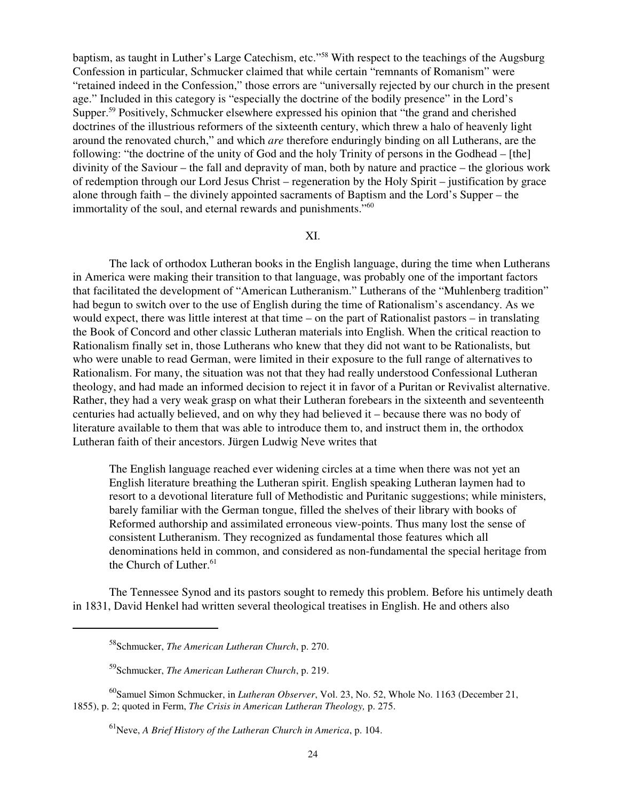baptism, as taught in Luther's Large Catechism, etc."<sup>58</sup> With respect to the teachings of the Augsburg Confession in particular, Schmucker claimed that while certain "remnants of Romanism" were "retained indeed in the Confession," those errors are "universally rejected by our church in the present age." Included in this category is "especially the doctrine of the bodily presence" in the Lord's Supper.<sup>59</sup> Positively, Schmucker elsewhere expressed his opinion that "the grand and cherished doctrines of the illustrious reformers of the sixteenth century, which threw a halo of heavenly light around the renovated church," and which *are* therefore enduringly binding on all Lutherans, are the following: "the doctrine of the unity of God and the holy Trinity of persons in the Godhead – [the] divinity of the Saviour – the fall and depravity of man, both by nature and practice – the glorious work of redemption through our Lord Jesus Christ – regeneration by the Holy Spirit – justification by grace alone through faith – the divinely appointed sacraments of Baptism and the Lord's Supper – the immortality of the soul, and eternal rewards and punishments."<sup>60</sup>

## XI.

The lack of orthodox Lutheran books in the English language, during the time when Lutherans in America were making their transition to that language, was probably one of the important factors that facilitated the development of "American Lutheranism." Lutherans of the "Muhlenberg tradition" had begun to switch over to the use of English during the time of Rationalism's ascendancy. As we would expect, there was little interest at that time – on the part of Rationalist pastors – in translating the Book of Concord and other classic Lutheran materials into English. When the critical reaction to Rationalism finally set in, those Lutherans who knew that they did not want to be Rationalists, but who were unable to read German, were limited in their exposure to the full range of alternatives to Rationalism. For many, the situation was not that they had really understood Confessional Lutheran theology, and had made an informed decision to reject it in favor of a Puritan or Revivalist alternative. Rather, they had a very weak grasp on what their Lutheran forebears in the sixteenth and seventeenth centuries had actually believed, and on why they had believed it – because there was no body of literature available to them that was able to introduce them to, and instruct them in, the orthodox Lutheran faith of their ancestors. Jürgen Ludwig Neve writes that

The English language reached ever widening circles at a time when there was not yet an English literature breathing the Lutheran spirit. English speaking Lutheran laymen had to resort to a devotional literature full of Methodistic and Puritanic suggestions; while ministers, barely familiar with the German tongue, filled the shelves of their library with books of Reformed authorship and assimilated erroneous view-points. Thus many lost the sense of consistent Lutheranism. They recognized as fundamental those features which all denominations held in common, and considered as non-fundamental the special heritage from the Church of Luther.<sup>61</sup>

The Tennessee Synod and its pastors sought to remedy this problem. Before his untimely death in 1831, David Henkel had written several theological treatises in English. He and others also

<sup>60</sup>Samuel Simon Schmucker, in *Lutheran Observer*, Vol. 23, No. 52, Whole No. 1163 (December 21, 1855), p. 2; quoted in Ferm, *The Crisis in American Lutheran Theology,* p. 275.

<sup>58</sup>Schmucker, *The American Lutheran Church*, p. 270.

<sup>59</sup>Schmucker, *The American Lutheran Church*, p. 219.

<sup>61</sup>Neve, *A Brief History of the Lutheran Church in America*, p. 104.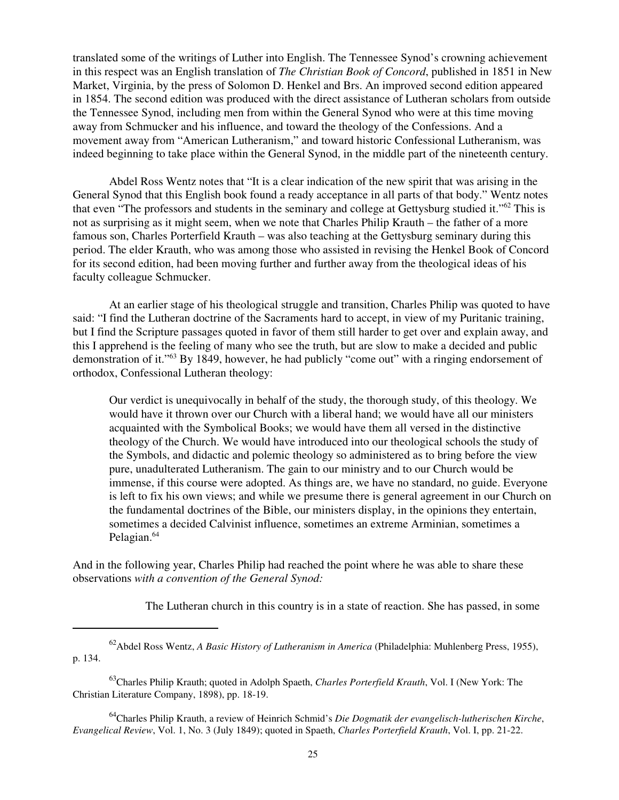translated some of the writings of Luther into English. The Tennessee Synod's crowning achievement in this respect was an English translation of *The Christian Book of Concord*, published in 1851 in New Market, Virginia, by the press of Solomon D. Henkel and Brs. An improved second edition appeared in 1854. The second edition was produced with the direct assistance of Lutheran scholars from outside the Tennessee Synod, including men from within the General Synod who were at this time moving away from Schmucker and his influence, and toward the theology of the Confessions. And a movement away from "American Lutheranism," and toward historic Confessional Lutheranism, was indeed beginning to take place within the General Synod, in the middle part of the nineteenth century.

Abdel Ross Wentz notes that "It is a clear indication of the new spirit that was arising in the General Synod that this English book found a ready acceptance in all parts of that body." Wentz notes that even "The professors and students in the seminary and college at Gettysburg studied it."<sup>62</sup> This is not as surprising as it might seem, when we note that Charles Philip Krauth – the father of a more famous son, Charles Porterfield Krauth – was also teaching at the Gettysburg seminary during this period. The elder Krauth, who was among those who assisted in revising the Henkel Book of Concord for its second edition, had been moving further and further away from the theological ideas of his faculty colleague Schmucker.

At an earlier stage of his theological struggle and transition, Charles Philip was quoted to have said: "I find the Lutheran doctrine of the Sacraments hard to accept, in view of my Puritanic training, but I find the Scripture passages quoted in favor of them still harder to get over and explain away, and this I apprehend is the feeling of many who see the truth, but are slow to make a decided and public demonstration of it."<sup>63</sup> By 1849, however, he had publicly "come out" with a ringing endorsement of orthodox, Confessional Lutheran theology:

Our verdict is unequivocally in behalf of the study, the thorough study, of this theology. We would have it thrown over our Church with a liberal hand; we would have all our ministers acquainted with the Symbolical Books; we would have them all versed in the distinctive theology of the Church. We would have introduced into our theological schools the study of the Symbols, and didactic and polemic theology so administered as to bring before the view pure, unadulterated Lutheranism. The gain to our ministry and to our Church would be immense, if this course were adopted. As things are, we have no standard, no guide. Everyone is left to fix his own views; and while we presume there is general agreement in our Church on the fundamental doctrines of the Bible, our ministers display, in the opinions they entertain, sometimes a decided Calvinist influence, sometimes an extreme Arminian, sometimes a Pelagian.<sup>64</sup>

And in the following year, Charles Philip had reached the point where he was able to share these observations *with a convention of the General Synod:*

The Lutheran church in this country is in a state of reaction. She has passed, in some

<sup>64</sup>Charles Philip Krauth, a review of Heinrich Schmid's *Die Dogmatik der evangelisch-lutherischen Kirche*, *Evangelical Review*, Vol. 1, No. 3 (July 1849); quoted in Spaeth, *Charles Porterfield Krauth*, Vol. I, pp. 21-22.

<sup>62</sup>Abdel Ross Wentz, *A Basic History of Lutheranism in America* (Philadelphia: Muhlenberg Press, 1955), p. 134.

<sup>63</sup>Charles Philip Krauth; quoted in Adolph Spaeth, *Charles Porterfield Krauth*, Vol. I (New York: The Christian Literature Company, 1898), pp. 18-19.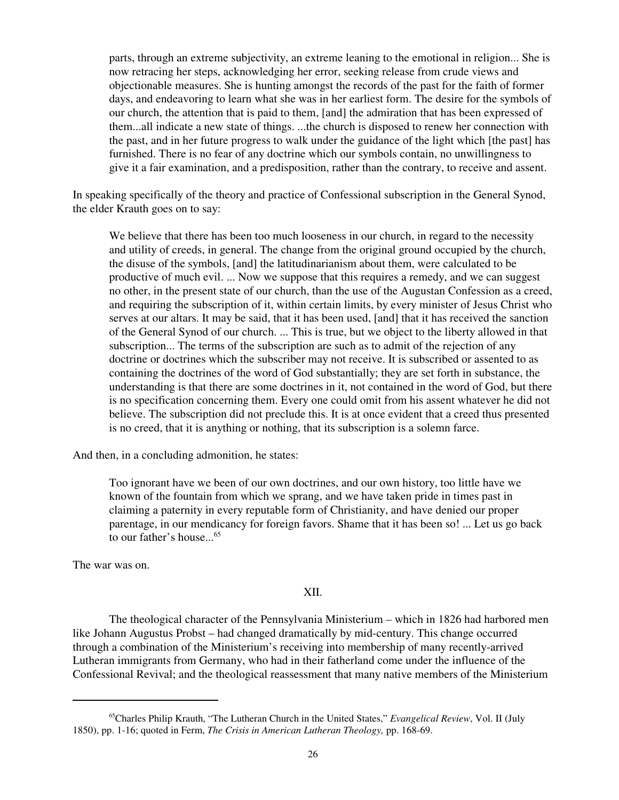parts, through an extreme subjectivity, an extreme leaning to the emotional in religion... She is now retracing her steps, acknowledging her error, seeking release from crude views and objectionable measures. She is hunting amongst the records of the past for the faith of former days, and endeavoring to learn what she was in her earliest form. The desire for the symbols of our church, the attention that is paid to them, [and] the admiration that has been expressed of them...all indicate a new state of things. ...the church is disposed to renew her connection with the past, and in her future progress to walk under the guidance of the light which [the past] has furnished. There is no fear of any doctrine which our symbols contain, no unwillingness to give it a fair examination, and a predisposition, rather than the contrary, to receive and assent.

In speaking specifically of the theory and practice of Confessional subscription in the General Synod, the elder Krauth goes on to say:

We believe that there has been too much looseness in our church, in regard to the necessity and utility of creeds, in general. The change from the original ground occupied by the church, the disuse of the symbols, [and] the latitudinarianism about them, were calculated to be productive of much evil. ... Now we suppose that this requires a remedy, and we can suggest no other, in the present state of our church, than the use of the Augustan Confession as a creed, and requiring the subscription of it, within certain limits, by every minister of Jesus Christ who serves at our altars. It may be said, that it has been used, [and] that it has received the sanction of the General Synod of our church. ... This is true, but we object to the liberty allowed in that subscription... The terms of the subscription are such as to admit of the rejection of any doctrine or doctrines which the subscriber may not receive. It is subscribed or assented to as containing the doctrines of the word of God substantially; they are set forth in substance, the understanding is that there are some doctrines in it, not contained in the word of God, but there is no specification concerning them. Every one could omit from his assent whatever he did not believe. The subscription did not preclude this. It is at once evident that a creed thus presented is no creed, that it is anything or nothing, that its subscription is a solemn farce.

And then, in a concluding admonition, he states:

Too ignorant have we been of our own doctrines, and our own history, too little have we known of the fountain from which we sprang, and we have taken pride in times past in claiming a paternity in every reputable form of Christianity, and have denied our proper parentage, in our mendicancy for foreign favors. Shame that it has been so! ... Let us go back to our father's house...<sup>65</sup>

The war was on.

# XII.

The theological character of the Pennsylvania Ministerium – which in 1826 had harbored men like Johann Augustus Probst – had changed dramatically by mid-century. This change occurred through a combination of the Ministerium's receiving into membership of many recently-arrived Lutheran immigrants from Germany, who had in their fatherland come under the influence of the Confessional Revival; and the theological reassessment that many native members of the Ministerium

<sup>65</sup>Charles Philip Krauth, "The Lutheran Church in the United States," *Evangelical Review*, Vol. II (July 1850), pp. 1-16; quoted in Ferm, *The Crisis in American Lutheran Theology,* pp. 168-69.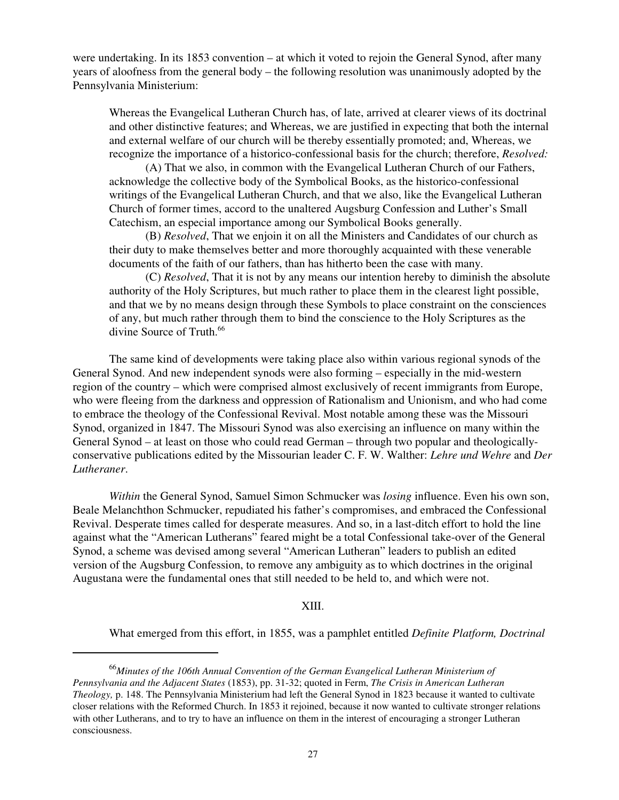were undertaking. In its 1853 convention – at which it voted to rejoin the General Synod, after many years of aloofness from the general body – the following resolution was unanimously adopted by the Pennsylvania Ministerium:

Whereas the Evangelical Lutheran Church has, of late, arrived at clearer views of its doctrinal and other distinctive features; and Whereas, we are justified in expecting that both the internal and external welfare of our church will be thereby essentially promoted; and, Whereas, we recognize the importance of a historico-confessional basis for the church; therefore, *Resolved:*

(A) That we also, in common with the Evangelical Lutheran Church of our Fathers, acknowledge the collective body of the Symbolical Books, as the historico-confessional writings of the Evangelical Lutheran Church, and that we also, like the Evangelical Lutheran Church of former times, accord to the unaltered Augsburg Confession and Luther's Small Catechism, an especial importance among our Symbolical Books generally.

(B) *Resolved*, That we enjoin it on all the Ministers and Candidates of our church as their duty to make themselves better and more thoroughly acquainted with these venerable documents of the faith of our fathers, than has hitherto been the case with many.

(C) *Resolved*, That it is not by any means our intention hereby to diminish the absolute authority of the Holy Scriptures, but much rather to place them in the clearest light possible, and that we by no means design through these Symbols to place constraint on the consciences of any, but much rather through them to bind the conscience to the Holy Scriptures as the divine Source of Truth.<sup>66</sup>

The same kind of developments were taking place also within various regional synods of the General Synod. And new independent synods were also forming – especially in the mid-western region of the country – which were comprised almost exclusively of recent immigrants from Europe, who were fleeing from the darkness and oppression of Rationalism and Unionism, and who had come to embrace the theology of the Confessional Revival. Most notable among these was the Missouri Synod, organized in 1847. The Missouri Synod was also exercising an influence on many within the General Synod – at least on those who could read German – through two popular and theologicallyconservative publications edited by the Missourian leader C. F. W. Walther: *Lehre und Wehre* and *Der Lutheraner*.

*Within* the General Synod, Samuel Simon Schmucker was *losing* influence. Even his own son, Beale Melanchthon Schmucker, repudiated his father's compromises, and embraced the Confessional Revival. Desperate times called for desperate measures. And so, in a last-ditch effort to hold the line against what the "American Lutherans" feared might be a total Confessional take-over of the General Synod, a scheme was devised among several "American Lutheran" leaders to publish an edited version of the Augsburg Confession, to remove any ambiguity as to which doctrines in the original Augustana were the fundamental ones that still needed to be held to, and which were not.

## XIII.

What emerged from this effort, in 1855, was a pamphlet entitled *Definite Platform, Doctrinal*

<sup>66</sup>*Minutes of the 106th Annual Convention of the German Evangelical Lutheran Ministerium of Pennsylvania and the Adjacent States* (1853), pp. 31-32; quoted in Ferm, *The Crisis in American Lutheran Theology,* p. 148. The Pennsylvania Ministerium had left the General Synod in 1823 because it wanted to cultivate closer relations with the Reformed Church. In 1853 it rejoined, because it now wanted to cultivate stronger relations with other Lutherans, and to try to have an influence on them in the interest of encouraging a stronger Lutheran consciousness.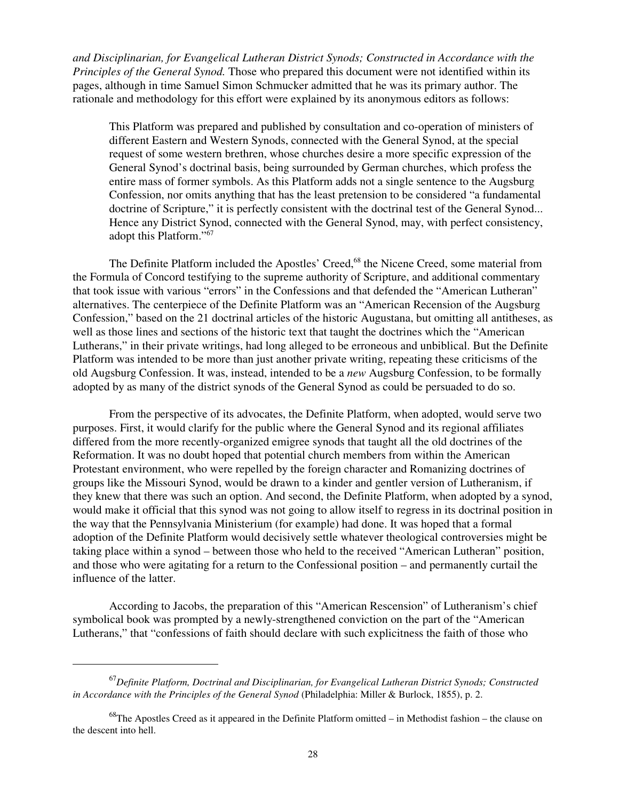*and Disciplinarian, for Evangelical Lutheran District Synods; Constructed in Accordance with the Principles of the General Synod.* Those who prepared this document were not identified within its pages, although in time Samuel Simon Schmucker admitted that he was its primary author. The rationale and methodology for this effort were explained by its anonymous editors as follows:

This Platform was prepared and published by consultation and co-operation of ministers of different Eastern and Western Synods, connected with the General Synod, at the special request of some western brethren, whose churches desire a more specific expression of the General Synod's doctrinal basis, being surrounded by German churches, which profess the entire mass of former symbols. As this Platform adds not a single sentence to the Augsburg Confession, nor omits anything that has the least pretension to be considered "a fundamental doctrine of Scripture," it is perfectly consistent with the doctrinal test of the General Synod... Hence any District Synod, connected with the General Synod, may, with perfect consistency, adopt this Platform."<sup>67</sup>

The Definite Platform included the Apostles' Creed,<sup>68</sup> the Nicene Creed, some material from the Formula of Concord testifying to the supreme authority of Scripture, and additional commentary that took issue with various "errors" in the Confessions and that defended the "American Lutheran" alternatives. The centerpiece of the Definite Platform was an "American Recension of the Augsburg Confession," based on the 21 doctrinal articles of the historic Augustana, but omitting all antitheses, as well as those lines and sections of the historic text that taught the doctrines which the "American Lutherans," in their private writings, had long alleged to be erroneous and unbiblical. But the Definite Platform was intended to be more than just another private writing, repeating these criticisms of the old Augsburg Confession. It was, instead, intended to be a *new* Augsburg Confession, to be formally adopted by as many of the district synods of the General Synod as could be persuaded to do so.

From the perspective of its advocates, the Definite Platform, when adopted, would serve two purposes. First, it would clarify for the public where the General Synod and its regional affiliates differed from the more recently-organized emigree synods that taught all the old doctrines of the Reformation. It was no doubt hoped that potential church members from within the American Protestant environment, who were repelled by the foreign character and Romanizing doctrines of groups like the Missouri Synod, would be drawn to a kinder and gentler version of Lutheranism, if they knew that there was such an option. And second, the Definite Platform, when adopted by a synod, would make it official that this synod was not going to allow itself to regress in its doctrinal position in the way that the Pennsylvania Ministerium (for example) had done. It was hoped that a formal adoption of the Definite Platform would decisively settle whatever theological controversies might be taking place within a synod – between those who held to the received "American Lutheran" position, and those who were agitating for a return to the Confessional position – and permanently curtail the influence of the latter.

According to Jacobs, the preparation of this "American Rescension" of Lutheranism's chief symbolical book was prompted by a newly-strengthened conviction on the part of the "American Lutherans," that "confessions of faith should declare with such explicitness the faith of those who

<sup>67</sup>*Definite Platform, Doctrinal and Disciplinarian, for Evangelical Lutheran District Synods; Constructed in Accordance with the Principles of the General Synod* (Philadelphia: Miller & Burlock, 1855), p. 2.

 $^{68}$ The Apostles Creed as it appeared in the Definite Platform omitted – in Methodist fashion – the clause on the descent into hell.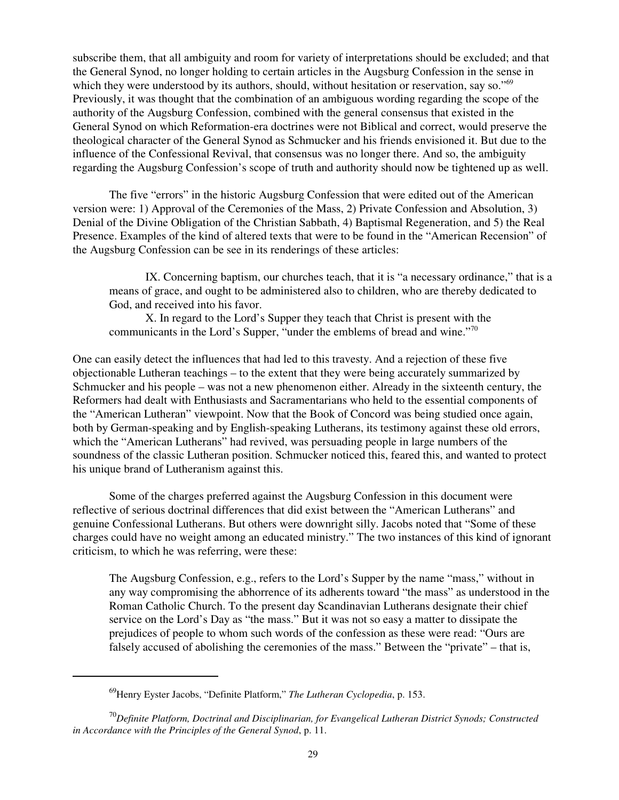subscribe them, that all ambiguity and room for variety of interpretations should be excluded; and that the General Synod, no longer holding to certain articles in the Augsburg Confession in the sense in which they were understood by its authors, should, without hesitation or reservation, say so."<sup>69</sup> Previously, it was thought that the combination of an ambiguous wording regarding the scope of the authority of the Augsburg Confession, combined with the general consensus that existed in the General Synod on which Reformation-era doctrines were not Biblical and correct, would preserve the theological character of the General Synod as Schmucker and his friends envisioned it. But due to the influence of the Confessional Revival, that consensus was no longer there. And so, the ambiguity regarding the Augsburg Confession's scope of truth and authority should now be tightened up as well.

The five "errors" in the historic Augsburg Confession that were edited out of the American version were: 1) Approval of the Ceremonies of the Mass, 2) Private Confession and Absolution, 3) Denial of the Divine Obligation of the Christian Sabbath, 4) Baptismal Regeneration, and 5) the Real Presence. Examples of the kind of altered texts that were to be found in the "American Recension" of the Augsburg Confession can be see in its renderings of these articles:

IX. Concerning baptism, our churches teach, that it is "a necessary ordinance," that is a means of grace, and ought to be administered also to children, who are thereby dedicated to God, and received into his favor.

X. In regard to the Lord's Supper they teach that Christ is present with the communicants in the Lord's Supper, "under the emblems of bread and wine."<sup>70</sup>

One can easily detect the influences that had led to this travesty. And a rejection of these five objectionable Lutheran teachings – to the extent that they were being accurately summarized by Schmucker and his people – was not a new phenomenon either. Already in the sixteenth century, the Reformers had dealt with Enthusiasts and Sacramentarians who held to the essential components of the "American Lutheran" viewpoint. Now that the Book of Concord was being studied once again, both by German-speaking and by English-speaking Lutherans, its testimony against these old errors, which the "American Lutherans" had revived, was persuading people in large numbers of the soundness of the classic Lutheran position. Schmucker noticed this, feared this, and wanted to protect his unique brand of Lutheranism against this.

Some of the charges preferred against the Augsburg Confession in this document were reflective of serious doctrinal differences that did exist between the "American Lutherans" and genuine Confessional Lutherans. But others were downright silly. Jacobs noted that "Some of these charges could have no weight among an educated ministry." The two instances of this kind of ignorant criticism, to which he was referring, were these:

The Augsburg Confession, e.g., refers to the Lord's Supper by the name "mass," without in any way compromising the abhorrence of its adherents toward "the mass" as understood in the Roman Catholic Church. To the present day Scandinavian Lutherans designate their chief service on the Lord's Day as "the mass." But it was not so easy a matter to dissipate the prejudices of people to whom such words of the confession as these were read: "Ours are falsely accused of abolishing the ceremonies of the mass." Between the "private" – that is,

<sup>69</sup>Henry Eyster Jacobs, "Definite Platform," *The Lutheran Cyclopedia*, p. 153.

<sup>70</sup>*Definite Platform, Doctrinal and Disciplinarian, for Evangelical Lutheran District Synods; Constructed in Accordance with the Principles of the General Synod*, p. 11.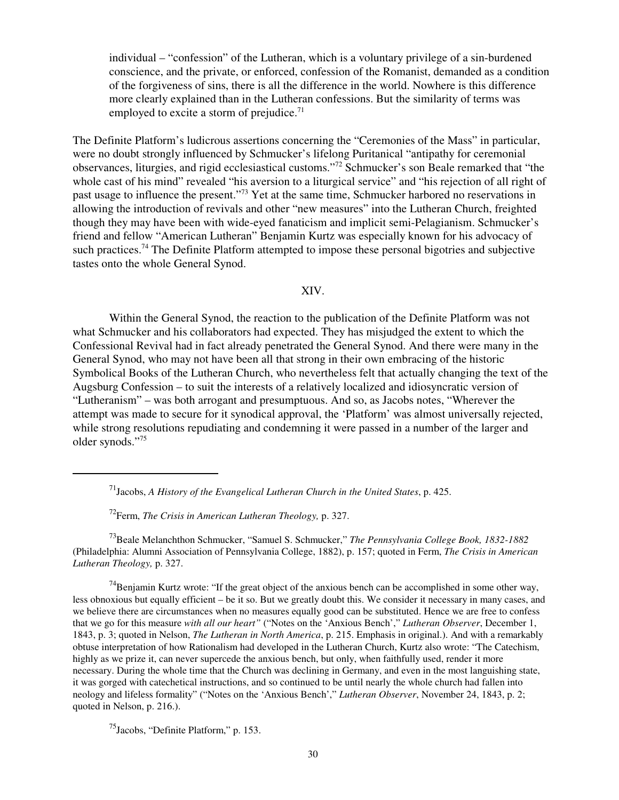individual – "confession" of the Lutheran, which is a voluntary privilege of a sin-burdened conscience, and the private, or enforced, confession of the Romanist, demanded as a condition of the forgiveness of sins, there is all the difference in the world. Nowhere is this difference more clearly explained than in the Lutheran confessions. But the similarity of terms was employed to excite a storm of prejudice.<sup>71</sup>

The Definite Platform's ludicrous assertions concerning the "Ceremonies of the Mass" in particular, were no doubt strongly influenced by Schmucker's lifelong Puritanical "antipathy for ceremonial observances, liturgies, and rigid ecclesiastical customs."<sup>72</sup> Schmucker's son Beale remarked that "the whole cast of his mind" revealed "his aversion to a liturgical service" and "his rejection of all right of past usage to influence the present."<sup>73</sup> Yet at the same time, Schmucker harbored no reservations in allowing the introduction of revivals and other "new measures" into the Lutheran Church, freighted though they may have been with wide-eyed fanaticism and implicit semi-Pelagianism. Schmucker's friend and fellow "American Lutheran" Benjamin Kurtz was especially known for his advocacy of such practices.<sup>74</sup> The Definite Platform attempted to impose these personal bigotries and subjective tastes onto the whole General Synod.

## XIV.

Within the General Synod, the reaction to the publication of the Definite Platform was not what Schmucker and his collaborators had expected. They has misjudged the extent to which the Confessional Revival had in fact already penetrated the General Synod. And there were many in the General Synod, who may not have been all that strong in their own embracing of the historic Symbolical Books of the Lutheran Church, who nevertheless felt that actually changing the text of the Augsburg Confession – to suit the interests of a relatively localized and idiosyncratic version of "Lutheranism" – was both arrogant and presumptuous. And so, as Jacobs notes, "Wherever the attempt was made to secure for it synodical approval, the 'Platform' was almost universally rejected, while strong resolutions repudiating and condemning it were passed in a number of the larger and older synods."75

<sup>73</sup>Beale Melanchthon Schmucker, "Samuel S. Schmucker," *The Pennsylvania College Book, 1832-1882* (Philadelphia: Alumni Association of Pennsylvania College, 1882), p. 157; quoted in Ferm, *The Crisis in American Lutheran Theology,* p. 327.

 $74$ Benjamin Kurtz wrote: "If the great object of the anxious bench can be accomplished in some other way, less obnoxious but equally efficient – be it so. But we greatly doubt this. We consider it necessary in many cases, and we believe there are circumstances when no measures equally good can be substituted. Hence we are free to confess that we go for this measure *with all our heart"* ("Notes on the 'Anxious Bench'," *Lutheran Observer*, December 1, 1843, p. 3; quoted in Nelson, *The Lutheran in North America*, p. 215. Emphasis in original.). And with a remarkably obtuse interpretation of how Rationalism had developed in the Lutheran Church, Kurtz also wrote: "The Catechism, highly as we prize it, can never supercede the anxious bench, but only, when faithfully used, render it more necessary. During the whole time that the Church was declining in Germany, and even in the most languishing state, it was gorged with catechetical instructions, and so continued to be until nearly the whole church had fallen into neology and lifeless formality" ("Notes on the 'Anxious Bench'," *Lutheran Observer*, November 24, 1843, p. 2; quoted in Nelson, p. 216.).

<sup>75</sup>Jacobs, "Definite Platform," p. 153.

<sup>71</sup>Jacobs, *A History of the Evangelical Lutheran Church in the United States*, p. 425.

<sup>72</sup>Ferm, *The Crisis in American Lutheran Theology,* p. 327.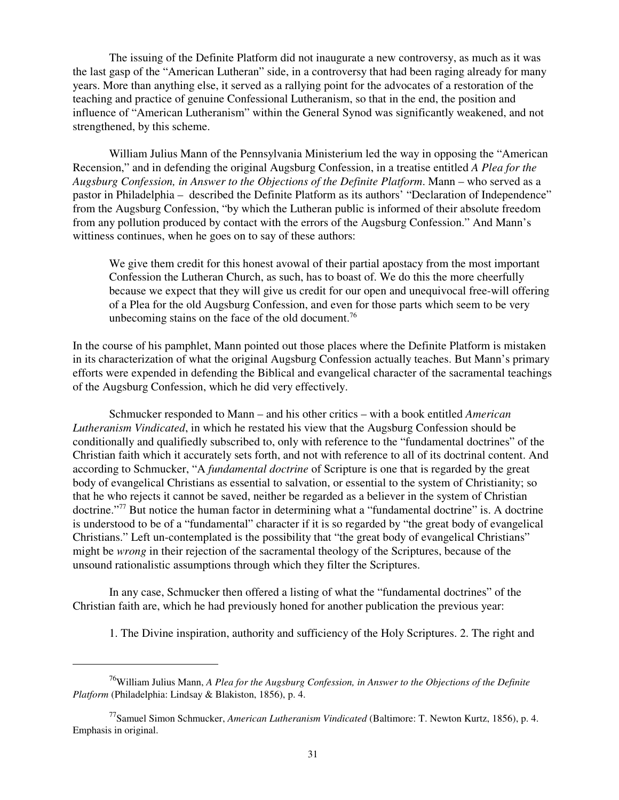The issuing of the Definite Platform did not inaugurate a new controversy, as much as it was the last gasp of the "American Lutheran" side, in a controversy that had been raging already for many years. More than anything else, it served as a rallying point for the advocates of a restoration of the teaching and practice of genuine Confessional Lutheranism, so that in the end, the position and influence of "American Lutheranism" within the General Synod was significantly weakened, and not strengthened, by this scheme.

William Julius Mann of the Pennsylvania Ministerium led the way in opposing the "American Recension," and in defending the original Augsburg Confession, in a treatise entitled *A Plea for the Augsburg Confession, in Answer to the Objections of the Definite Platform*. Mann – who served as a pastor in Philadelphia – described the Definite Platform as its authors' "Declaration of Independence" from the Augsburg Confession, "by which the Lutheran public is informed of their absolute freedom from any pollution produced by contact with the errors of the Augsburg Confession." And Mann's wittiness continues, when he goes on to say of these authors:

We give them credit for this honest avowal of their partial apostacy from the most important Confession the Lutheran Church, as such, has to boast of. We do this the more cheerfully because we expect that they will give us credit for our open and unequivocal free-will offering of a Plea for the old Augsburg Confession, and even for those parts which seem to be very unbecoming stains on the face of the old document.<sup>76</sup>

In the course of his pamphlet, Mann pointed out those places where the Definite Platform is mistaken in its characterization of what the original Augsburg Confession actually teaches. But Mann's primary efforts were expended in defending the Biblical and evangelical character of the sacramental teachings of the Augsburg Confession, which he did very effectively.

Schmucker responded to Mann – and his other critics – with a book entitled *American Lutheranism Vindicated*, in which he restated his view that the Augsburg Confession should be conditionally and qualifiedly subscribed to, only with reference to the "fundamental doctrines" of the Christian faith which it accurately sets forth, and not with reference to all of its doctrinal content. And according to Schmucker, "A *fundamental doctrine* of Scripture is one that is regarded by the great body of evangelical Christians as essential to salvation, or essential to the system of Christianity; so that he who rejects it cannot be saved, neither be regarded as a believer in the system of Christian doctrine."<sup>77</sup> But notice the human factor in determining what a "fundamental doctrine" is. A doctrine is understood to be of a "fundamental" character if it is so regarded by "the great body of evangelical Christians." Left un-contemplated is the possibility that "the great body of evangelical Christians" might be *wrong* in their rejection of the sacramental theology of the Scriptures, because of the unsound rationalistic assumptions through which they filter the Scriptures.

In any case, Schmucker then offered a listing of what the "fundamental doctrines" of the Christian faith are, which he had previously honed for another publication the previous year:

1. The Divine inspiration, authority and sufficiency of the Holy Scriptures. 2. The right and

<sup>76</sup>William Julius Mann, *A Plea for the Augsburg Confession, in Answer to the Objections of the Definite Platform* (Philadelphia: Lindsay & Blakiston, 1856), p. 4.

<sup>77</sup>Samuel Simon Schmucker, *American Lutheranism Vindicated* (Baltimore: T. Newton Kurtz, 1856), p. 4. Emphasis in original.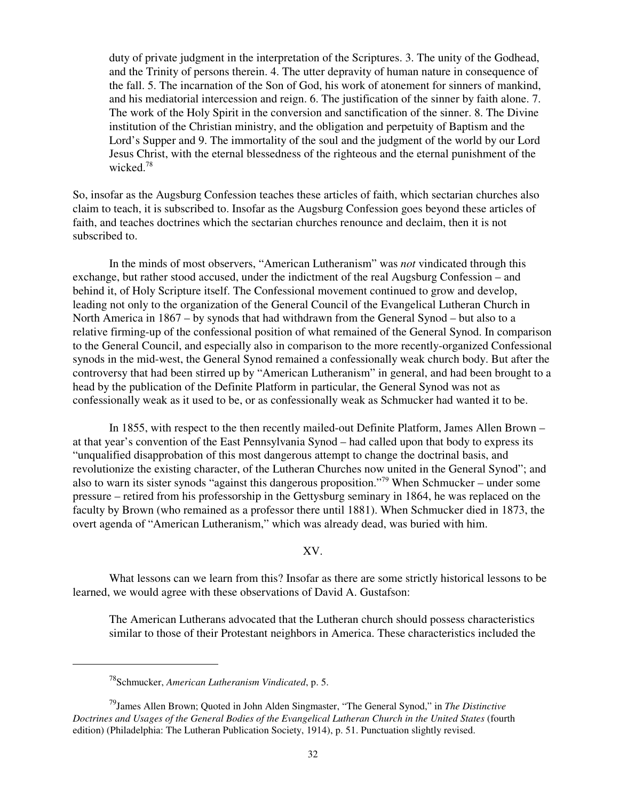duty of private judgment in the interpretation of the Scriptures. 3. The unity of the Godhead, and the Trinity of persons therein. 4. The utter depravity of human nature in consequence of the fall. 5. The incarnation of the Son of God, his work of atonement for sinners of mankind, and his mediatorial intercession and reign. 6. The justification of the sinner by faith alone. 7. The work of the Holy Spirit in the conversion and sanctification of the sinner. 8. The Divine institution of the Christian ministry, and the obligation and perpetuity of Baptism and the Lord's Supper and 9. The immortality of the soul and the judgment of the world by our Lord Jesus Christ, with the eternal blessedness of the righteous and the eternal punishment of the wicked.<sup>78</sup>

So, insofar as the Augsburg Confession teaches these articles of faith, which sectarian churches also claim to teach, it is subscribed to. Insofar as the Augsburg Confession goes beyond these articles of faith, and teaches doctrines which the sectarian churches renounce and declaim, then it is not subscribed to.

In the minds of most observers, "American Lutheranism" was *not* vindicated through this exchange, but rather stood accused, under the indictment of the real Augsburg Confession – and behind it, of Holy Scripture itself. The Confessional movement continued to grow and develop, leading not only to the organization of the General Council of the Evangelical Lutheran Church in North America in 1867 – by synods that had withdrawn from the General Synod – but also to a relative firming-up of the confessional position of what remained of the General Synod. In comparison to the General Council, and especially also in comparison to the more recently-organized Confessional synods in the mid-west, the General Synod remained a confessionally weak church body. But after the controversy that had been stirred up by "American Lutheranism" in general, and had been brought to a head by the publication of the Definite Platform in particular, the General Synod was not as confessionally weak as it used to be, or as confessionally weak as Schmucker had wanted it to be.

In 1855, with respect to the then recently mailed-out Definite Platform, James Allen Brown – at that year's convention of the East Pennsylvania Synod – had called upon that body to express its "unqualified disapprobation of this most dangerous attempt to change the doctrinal basis, and revolutionize the existing character, of the Lutheran Churches now united in the General Synod"; and also to warn its sister synods "against this dangerous proposition."<sup>79</sup> When Schmucker – under some pressure – retired from his professorship in the Gettysburg seminary in 1864, he was replaced on the faculty by Brown (who remained as a professor there until 1881). When Schmucker died in 1873, the overt agenda of "American Lutheranism," which was already dead, was buried with him.

XV.

What lessons can we learn from this? Insofar as there are some strictly historical lessons to be learned, we would agree with these observations of David A. Gustafson:

The American Lutherans advocated that the Lutheran church should possess characteristics similar to those of their Protestant neighbors in America. These characteristics included the

<sup>78</sup>Schmucker, *American Lutheranism Vindicated*, p. 5.

<sup>79</sup>James Allen Brown; Quoted in John Alden Singmaster, "The General Synod," in *The Distinctive Doctrines and Usages of the General Bodies of the Evangelical Lutheran Church in the United States* (fourth edition) (Philadelphia: The Lutheran Publication Society, 1914), p. 51. Punctuation slightly revised.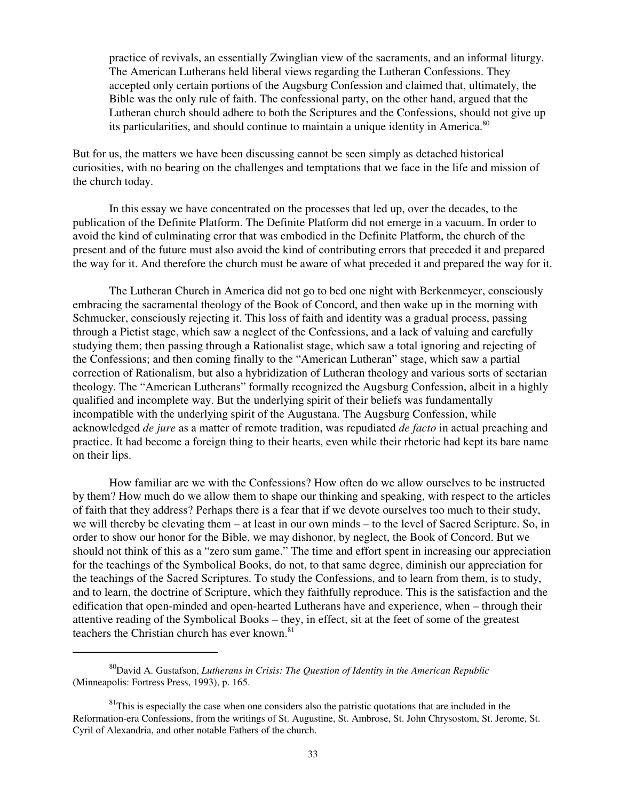practice of revivals, an essentially Zwinglian view of the sacraments, and an informal liturgy. The American Lutherans held liberal views regarding the Lutheran Confessions. They accepted only certain portions of the Augsburg Confession and claimed that, ultimately, the Bible was the only rule of faith. The confessional party, on the other hand, argued that the Lutheran church should adhere to both the Scriptures and the Confessions, should not give up its particularities, and should continue to maintain a unique identity in America.<sup>80</sup>

But for us, the matters we have been discussing cannot be seen simply as detached historical curiosities, with no bearing on the challenges and temptations that we face in the life and mission of the church today.

In this essay we have concentrated on the processes that led up, over the decades, to the publication of the Definite Platform. The Definite Platform did not emerge in a vacuum. In order to avoid the kind of culminating error that was embodied in the Definite Platform, the church of the present and of the future must also avoid the kind of contributing errors that preceded it and prepared the way for it. And therefore the church must be aware of what preceded it and prepared the way for it.

The Lutheran Church in America did not go to bed one night with Berkenmeyer, consciously embracing the sacramental theology of the Book of Concord, and then wake up in the morning with Schmucker, consciously rejecting it. This loss of faith and identity was a gradual process, passing through a Pietist stage, which saw a neglect of the Confessions, and a lack of valuing and carefully studying them; then passing through a Rationalist stage, which saw a total ignoring and rejecting of the Confessions; and then coming finally to the "American Lutheran" stage, which saw a partial correction of Rationalism, but also a hybridization of Lutheran theology and various sorts of sectarian theology. The "American Lutherans" formally recognized the Augsburg Confession, albeit in a highly qualified and incomplete way. But the underlying spirit of their beliefs was fundamentally incompatible with the underlying spirit of the Augustana. The Augsburg Confession, while acknowledged *de jure* as a matter of remote tradition, was repudiated *de facto* in actual preaching and practice. It had become a foreign thing to their hearts, even while their rhetoric had kept its bare name on their lips.

How familiar are we with the Confessions? How often do we allow ourselves to be instructed by them? How much do we allow them to shape our thinking and speaking, with respect to the articles of faith that they address? Perhaps there is a fear that if we devote ourselves too much to their study, we will thereby be elevating them – at least in our own minds – to the level of Sacred Scripture. So, in order to show our honor for the Bible, we may dishonor, by neglect, the Book of Concord. But we should not think of this as a "zero sum game." The time and effort spent in increasing our appreciation for the teachings of the Symbolical Books, do not, to that same degree, diminish our appreciation for the teachings of the Sacred Scriptures. To study the Confessions, and to learn from them, is to study, and to learn, the doctrine of Scripture, which they faithfully reproduce. This is the satisfaction and the edification that open-minded and open-hearted Lutherans have and experience, when – through their attentive reading of the Symbolical Books – they, in effect, sit at the feet of some of the greatest teachers the Christian church has ever known.<sup>81</sup>

<sup>80</sup>David A. Gustafson, *Lutherans in Crisis: The Question of Identity in the American Republic* (Minneapolis: Fortress Press, 1993), p. 165.

 $81$ This is especially the case when one considers also the patristic quotations that are included in the Reformation-era Confessions, from the writings of St. Augustine, St. Ambrose, St. John Chrysostom, St. Jerome, St. Cyril of Alexandria, and other notable Fathers of the church.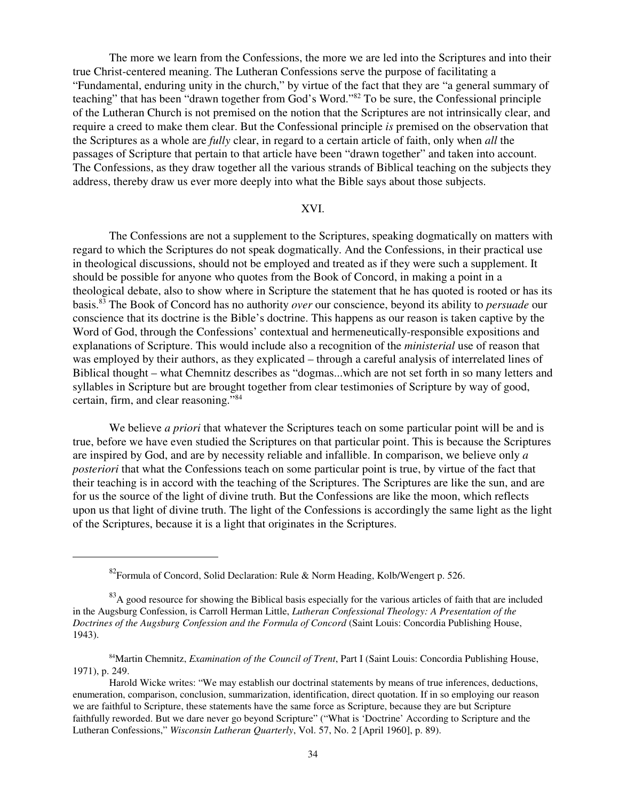The more we learn from the Confessions, the more we are led into the Scriptures and into their true Christ-centered meaning. The Lutheran Confessions serve the purpose of facilitating a "Fundamental, enduring unity in the church," by virtue of the fact that they are "a general summary of teaching" that has been "drawn together from God's Word."<sup>82</sup> To be sure, the Confessional principle of the Lutheran Church is not premised on the notion that the Scriptures are not intrinsically clear, and require a creed to make them clear. But the Confessional principle *is* premised on the observation that the Scriptures as a whole are *fully* clear, in regard to a certain article of faith, only when *all* the passages of Scripture that pertain to that article have been "drawn together" and taken into account. The Confessions, as they draw together all the various strands of Biblical teaching on the subjects they address, thereby draw us ever more deeply into what the Bible says about those subjects.

## XVI.

The Confessions are not a supplement to the Scriptures, speaking dogmatically on matters with regard to which the Scriptures do not speak dogmatically. And the Confessions, in their practical use in theological discussions, should not be employed and treated as if they were such a supplement. It should be possible for anyone who quotes from the Book of Concord, in making a point in a theological debate, also to show where in Scripture the statement that he has quoted is rooted or has its basis.<sup>83</sup> The Book of Concord has no authority *over* our conscience, beyond its ability to *persuade* our conscience that its doctrine is the Bible's doctrine. This happens as our reason is taken captive by the Word of God, through the Confessions' contextual and hermeneutically-responsible expositions and explanations of Scripture. This would include also a recognition of the *ministerial* use of reason that was employed by their authors, as they explicated – through a careful analysis of interrelated lines of Biblical thought – what Chemnitz describes as "dogmas...which are not set forth in so many letters and syllables in Scripture but are brought together from clear testimonies of Scripture by way of good, certain, firm, and clear reasoning."<sup>84</sup>

We believe *a priori* that whatever the Scriptures teach on some particular point will be and is true, before we have even studied the Scriptures on that particular point. This is because the Scriptures are inspired by God, and are by necessity reliable and infallible. In comparison, we believe only *a posteriori* that what the Confessions teach on some particular point is true, by virtue of the fact that their teaching is in accord with the teaching of the Scriptures. The Scriptures are like the sun, and are for us the source of the light of divine truth. But the Confessions are like the moon, which reflects upon us that light of divine truth. The light of the Confessions is accordingly the same light as the light of the Scriptures, because it is a light that originates in the Scriptures.

 $82$ Formula of Concord, Solid Declaration: Rule & Norm Heading, Kolb/Wengert p. 526.

<sup>&</sup>lt;sup>83</sup>A good resource for showing the Biblical basis especially for the various articles of faith that are included in the Augsburg Confession, is Carroll Herman Little, *Lutheran Confessional Theology: A Presentation of the Doctrines of the Augsburg Confession and the Formula of Concord* (Saint Louis: Concordia Publishing House, 1943).

<sup>84</sup>Martin Chemnitz, *Examination of the Council of Trent*, Part I (Saint Louis: Concordia Publishing House, 1971), p. 249.

Harold Wicke writes: "We may establish our doctrinal statements by means of true inferences, deductions, enumeration, comparison, conclusion, summarization, identification, direct quotation. If in so employing our reason we are faithful to Scripture, these statements have the same force as Scripture, because they are but Scripture faithfully reworded. But we dare never go beyond Scripture" ("What is 'Doctrine' According to Scripture and the Lutheran Confessions," *Wisconsin Lutheran Quarterly*, Vol. 57, No. 2 [April 1960], p. 89).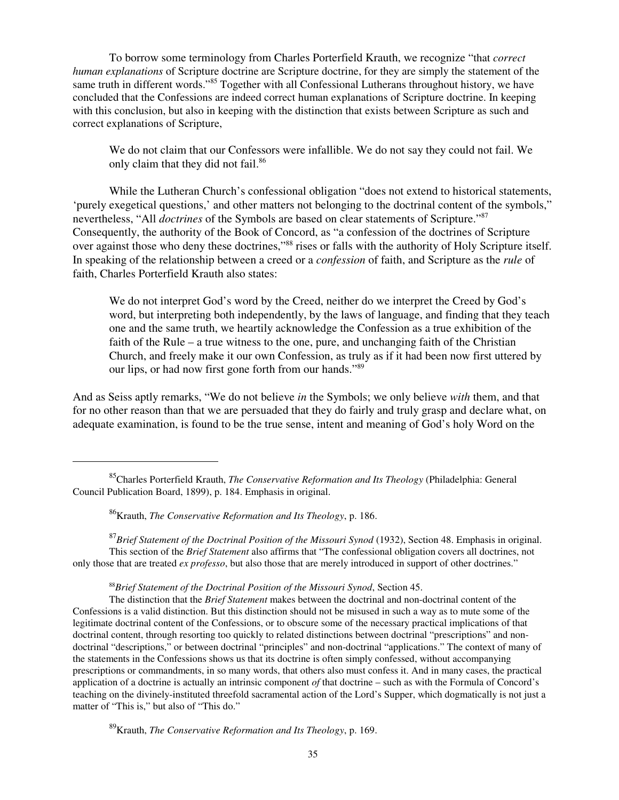To borrow some terminology from Charles Porterfield Krauth, we recognize "that *correct human explanations* of Scripture doctrine are Scripture doctrine, for they are simply the statement of the same truth in different words."<sup>85</sup> Together with all Confessional Lutherans throughout history, we have concluded that the Confessions are indeed correct human explanations of Scripture doctrine. In keeping with this conclusion, but also in keeping with the distinction that exists between Scripture as such and correct explanations of Scripture,

We do not claim that our Confessors were infallible. We do not say they could not fail. We only claim that they did not fail.<sup>86</sup>

While the Lutheran Church's confessional obligation "does not extend to historical statements, 'purely exegetical questions,' and other matters not belonging to the doctrinal content of the symbols," nevertheless, "All *doctrines* of the Symbols are based on clear statements of Scripture."<sup>87</sup> Consequently, the authority of the Book of Concord, as "a confession of the doctrines of Scripture over against those who deny these doctrines,"<sup>88</sup> rises or falls with the authority of Holy Scripture itself. In speaking of the relationship between a creed or a *confession* of faith, and Scripture as the *rule* of faith, Charles Porterfield Krauth also states:

We do not interpret God's word by the Creed, neither do we interpret the Creed by God's word, but interpreting both independently, by the laws of language, and finding that they teach one and the same truth, we heartily acknowledge the Confession as a true exhibition of the faith of the Rule – a true witness to the one, pure, and unchanging faith of the Christian Church, and freely make it our own Confession, as truly as if it had been now first uttered by our lips, or had now first gone forth from our hands."<sup>89</sup>

And as Seiss aptly remarks, "We do not believe *in* the Symbols; we only believe *with* them, and that for no other reason than that we are persuaded that they do fairly and truly grasp and declare what, on adequate examination, is found to be the true sense, intent and meaning of God's holy Word on the

<sup>87</sup>*Brief Statement of the Doctrinal Position of the Missouri Synod* (1932), Section 48. Emphasis in original. This section of the *Brief Statement* also affirms that "The confessional obligation covers all doctrines, not only those that are treated *ex professo*, but also those that are merely introduced in support of other doctrines."

<sup>88</sup>*Brief Statement of the Doctrinal Position of the Missouri Synod*, Section 45.

<sup>89</sup>Krauth, *The Conservative Reformation and Its Theology*, p. 169.

<sup>85</sup>Charles Porterfield Krauth, *The Conservative Reformation and Its Theology* (Philadelphia: General Council Publication Board, 1899), p. 184. Emphasis in original.

<sup>86</sup>Krauth, *The Conservative Reformation and Its Theology*, p. 186.

The distinction that the *Brief Statement* makes between the doctrinal and non-doctrinal content of the Confessions is a valid distinction. But this distinction should not be misused in such a way as to mute some of the legitimate doctrinal content of the Confessions, or to obscure some of the necessary practical implications of that doctrinal content, through resorting too quickly to related distinctions between doctrinal "prescriptions" and nondoctrinal "descriptions," or between doctrinal "principles" and non-doctrinal "applications." The context of many of the statements in the Confessions shows us that its doctrine is often simply confessed, without accompanying prescriptions or commandments, in so many words, that others also must confess it. And in many cases, the practical application of a doctrine is actually an intrinsic component *of* that doctrine – such as with the Formula of Concord's teaching on the divinely-instituted threefold sacramental action of the Lord's Supper, which dogmatically is not just a matter of "This is," but also of "This do."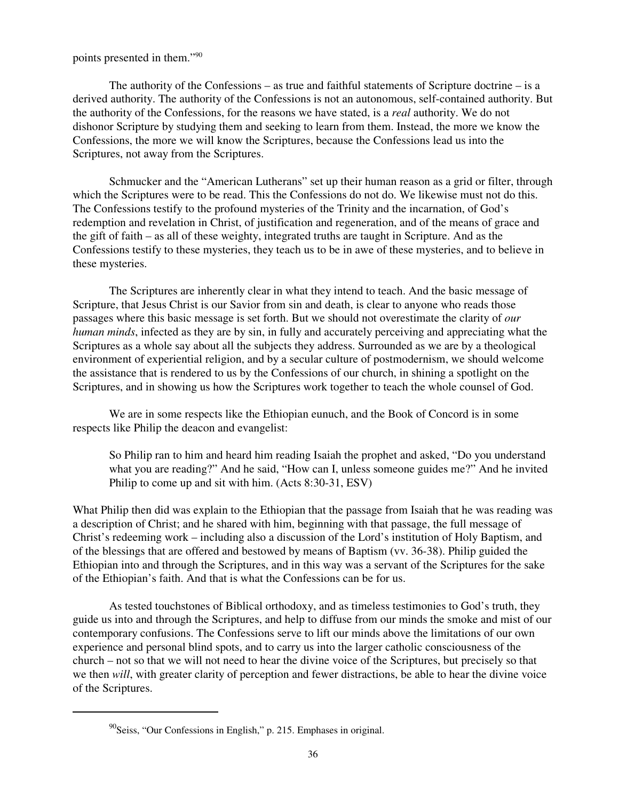# points presented in them."<sup>90</sup>

The authority of the Confessions – as true and faithful statements of Scripture doctrine – is a derived authority. The authority of the Confessions is not an autonomous, self-contained authority. But the authority of the Confessions, for the reasons we have stated, is a *real* authority. We do not dishonor Scripture by studying them and seeking to learn from them. Instead, the more we know the Confessions, the more we will know the Scriptures, because the Confessions lead us into the Scriptures, not away from the Scriptures.

Schmucker and the "American Lutherans" set up their human reason as a grid or filter, through which the Scriptures were to be read. This the Confessions do not do. We likewise must not do this. The Confessions testify to the profound mysteries of the Trinity and the incarnation, of God's redemption and revelation in Christ, of justification and regeneration, and of the means of grace and the gift of faith – as all of these weighty, integrated truths are taught in Scripture. And as the Confessions testify to these mysteries, they teach us to be in awe of these mysteries, and to believe in these mysteries.

The Scriptures are inherently clear in what they intend to teach. And the basic message of Scripture, that Jesus Christ is our Savior from sin and death, is clear to anyone who reads those passages where this basic message is set forth. But we should not overestimate the clarity of *our human minds*, infected as they are by sin, in fully and accurately perceiving and appreciating what the Scriptures as a whole say about all the subjects they address. Surrounded as we are by a theological environment of experiential religion, and by a secular culture of postmodernism, we should welcome the assistance that is rendered to us by the Confessions of our church, in shining a spotlight on the Scriptures, and in showing us how the Scriptures work together to teach the whole counsel of God.

We are in some respects like the Ethiopian eunuch, and the Book of Concord is in some respects like Philip the deacon and evangelist:

So Philip ran to him and heard him reading Isaiah the prophet and asked, "Do you understand what you are reading?" And he said, "How can I, unless someone guides me?" And he invited Philip to come up and sit with him. (Acts 8:30-31, ESV)

What Philip then did was explain to the Ethiopian that the passage from Isaiah that he was reading was a description of Christ; and he shared with him, beginning with that passage, the full message of Christ's redeeming work – including also a discussion of the Lord's institution of Holy Baptism, and of the blessings that are offered and bestowed by means of Baptism (vv. 36-38). Philip guided the Ethiopian into and through the Scriptures, and in this way was a servant of the Scriptures for the sake of the Ethiopian's faith. And that is what the Confessions can be for us.

As tested touchstones of Biblical orthodoxy, and as timeless testimonies to God's truth, they guide us into and through the Scriptures, and help to diffuse from our minds the smoke and mist of our contemporary confusions. The Confessions serve to lift our minds above the limitations of our own experience and personal blind spots, and to carry us into the larger catholic consciousness of the church – not so that we will not need to hear the divine voice of the Scriptures, but precisely so that we then *will*, with greater clarity of perception and fewer distractions, be able to hear the divine voice of the Scriptures.

 $^{90}$ Seiss, "Our Confessions in English," p. 215. Emphases in original.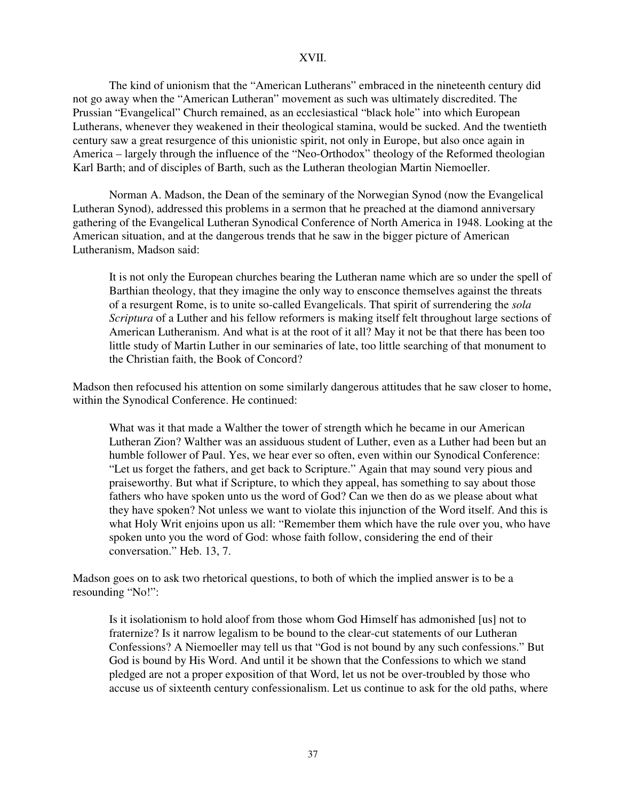# XVII.

The kind of unionism that the "American Lutherans" embraced in the nineteenth century did not go away when the "American Lutheran" movement as such was ultimately discredited. The Prussian "Evangelical" Church remained, as an ecclesiastical "black hole" into which European Lutherans, whenever they weakened in their theological stamina, would be sucked. And the twentieth century saw a great resurgence of this unionistic spirit, not only in Europe, but also once again in America – largely through the influence of the "Neo-Orthodox" theology of the Reformed theologian Karl Barth; and of disciples of Barth, such as the Lutheran theologian Martin Niemoeller.

Norman A. Madson, the Dean of the seminary of the Norwegian Synod (now the Evangelical Lutheran Synod), addressed this problems in a sermon that he preached at the diamond anniversary gathering of the Evangelical Lutheran Synodical Conference of North America in 1948. Looking at the American situation, and at the dangerous trends that he saw in the bigger picture of American Lutheranism, Madson said:

It is not only the European churches bearing the Lutheran name which are so under the spell of Barthian theology, that they imagine the only way to ensconce themselves against the threats of a resurgent Rome, is to unite so-called Evangelicals. That spirit of surrendering the *sola Scriptura* of a Luther and his fellow reformers is making itself felt throughout large sections of American Lutheranism. And what is at the root of it all? May it not be that there has been too little study of Martin Luther in our seminaries of late, too little searching of that monument to the Christian faith, the Book of Concord?

Madson then refocused his attention on some similarly dangerous attitudes that he saw closer to home, within the Synodical Conference. He continued:

What was it that made a Walther the tower of strength which he became in our American Lutheran Zion? Walther was an assiduous student of Luther, even as a Luther had been but an humble follower of Paul. Yes, we hear ever so often, even within our Synodical Conference: "Let us forget the fathers, and get back to Scripture." Again that may sound very pious and praiseworthy. But what if Scripture, to which they appeal, has something to say about those fathers who have spoken unto us the word of God? Can we then do as we please about what they have spoken? Not unless we want to violate this injunction of the Word itself. And this is what Holy Writ enjoins upon us all: "Remember them which have the rule over you, who have spoken unto you the word of God: whose faith follow, considering the end of their conversation." Heb. 13, 7.

Madson goes on to ask two rhetorical questions, to both of which the implied answer is to be a resounding "No!":

Is it isolationism to hold aloof from those whom God Himself has admonished [us] not to fraternize? Is it narrow legalism to be bound to the clear-cut statements of our Lutheran Confessions? A Niemoeller may tell us that "God is not bound by any such confessions." But God is bound by His Word. And until it be shown that the Confessions to which we stand pledged are not a proper exposition of that Word, let us not be over-troubled by those who accuse us of sixteenth century confessionalism. Let us continue to ask for the old paths, where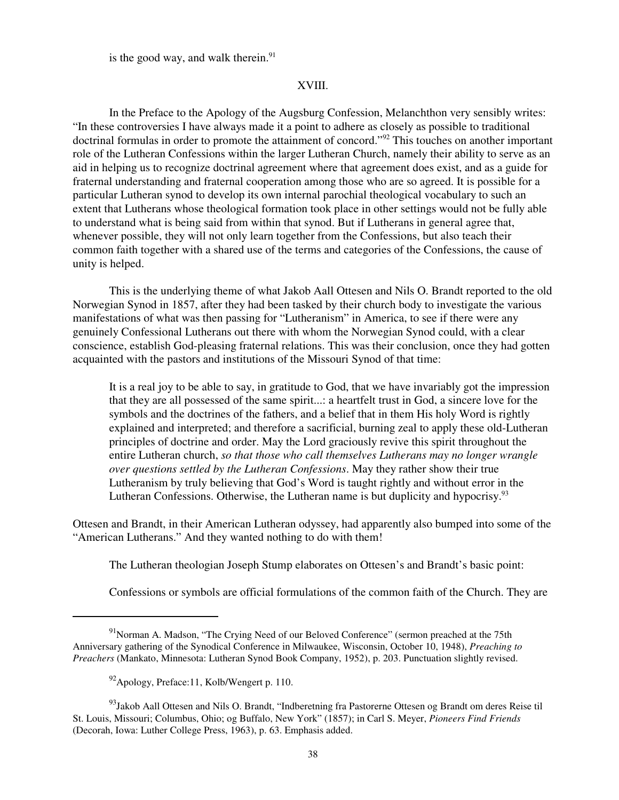is the good way, and walk therein. $91$ 

## XVIII.

In the Preface to the Apology of the Augsburg Confession, Melanchthon very sensibly writes: "In these controversies I have always made it a point to adhere as closely as possible to traditional doctrinal formulas in order to promote the attainment of concord."<sup>92</sup> This touches on another important role of the Lutheran Confessions within the larger Lutheran Church, namely their ability to serve as an aid in helping us to recognize doctrinal agreement where that agreement does exist, and as a guide for fraternal understanding and fraternal cooperation among those who are so agreed. It is possible for a particular Lutheran synod to develop its own internal parochial theological vocabulary to such an extent that Lutherans whose theological formation took place in other settings would not be fully able to understand what is being said from within that synod. But if Lutherans in general agree that, whenever possible, they will not only learn together from the Confessions, but also teach their common faith together with a shared use of the terms and categories of the Confessions, the cause of unity is helped.

This is the underlying theme of what Jakob Aall Ottesen and Nils O. Brandt reported to the old Norwegian Synod in 1857, after they had been tasked by their church body to investigate the various manifestations of what was then passing for "Lutheranism" in America, to see if there were any genuinely Confessional Lutherans out there with whom the Norwegian Synod could, with a clear conscience, establish God-pleasing fraternal relations. This was their conclusion, once they had gotten acquainted with the pastors and institutions of the Missouri Synod of that time:

It is a real joy to be able to say, in gratitude to God, that we have invariably got the impression that they are all possessed of the same spirit...: a heartfelt trust in God, a sincere love for the symbols and the doctrines of the fathers, and a belief that in them His holy Word is rightly explained and interpreted; and therefore a sacrificial, burning zeal to apply these old-Lutheran principles of doctrine and order. May the Lord graciously revive this spirit throughout the entire Lutheran church, *so that those who call themselves Lutherans may no longer wrangle over questions settled by the Lutheran Confessions*. May they rather show their true Lutheranism by truly believing that God's Word is taught rightly and without error in the Lutheran Confessions. Otherwise, the Lutheran name is but duplicity and hypocrisy.<sup>93</sup>

Ottesen and Brandt, in their American Lutheran odyssey, had apparently also bumped into some of the "American Lutherans." And they wanted nothing to do with them!

The Lutheran theologian Joseph Stump elaborates on Ottesen's and Brandt's basic point:

Confessions or symbols are official formulations of the common faith of the Church. They are

 $91$ Norman A. Madson, "The Crying Need of our Beloved Conference" (sermon preached at the 75th Anniversary gathering of the Synodical Conference in Milwaukee, Wisconsin, October 10, 1948), *Preaching to Preachers* (Mankato, Minnesota: Lutheran Synod Book Company, 1952), p. 203. Punctuation slightly revised.

 $92$ Apology, Preface:11, Kolb/Wengert p. 110.

<sup>&</sup>lt;sup>93</sup>Jakob Aall Ottesen and Nils O. Brandt, "Indberetning fra Pastorerne Ottesen og Brandt om deres Reise til St. Louis, Missouri; Columbus, Ohio; og Buffalo, New York" (1857); in Carl S. Meyer, *Pioneers Find Friends* (Decorah, Iowa: Luther College Press, 1963), p. 63. Emphasis added.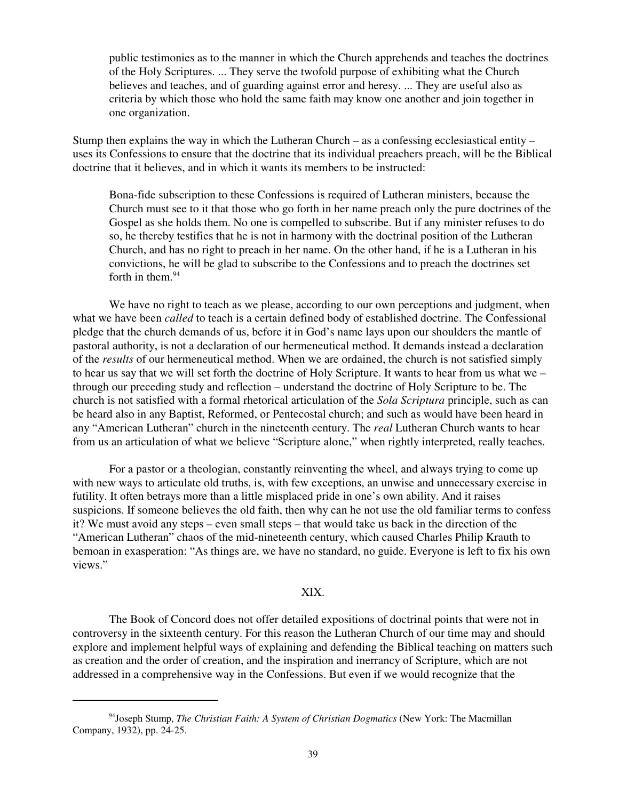public testimonies as to the manner in which the Church apprehends and teaches the doctrines of the Holy Scriptures. ... They serve the twofold purpose of exhibiting what the Church believes and teaches, and of guarding against error and heresy. ... They are useful also as criteria by which those who hold the same faith may know one another and join together in one organization.

Stump then explains the way in which the Lutheran Church – as a confessing ecclesiastical entity – uses its Confessions to ensure that the doctrine that its individual preachers preach, will be the Biblical doctrine that it believes, and in which it wants its members to be instructed:

Bona-fide subscription to these Confessions is required of Lutheran ministers, because the Church must see to it that those who go forth in her name preach only the pure doctrines of the Gospel as she holds them. No one is compelled to subscribe. But if any minister refuses to do so, he thereby testifies that he is not in harmony with the doctrinal position of the Lutheran Church, and has no right to preach in her name. On the other hand, if he is a Lutheran in his convictions, he will be glad to subscribe to the Confessions and to preach the doctrines set forth in them.<sup>94</sup>

We have no right to teach as we please, according to our own perceptions and judgment, when what we have been *called* to teach is a certain defined body of established doctrine. The Confessional pledge that the church demands of us, before it in God's name lays upon our shoulders the mantle of pastoral authority, is not a declaration of our hermeneutical method. It demands instead a declaration of the *results* of our hermeneutical method. When we are ordained, the church is not satisfied simply to hear us say that we will set forth the doctrine of Holy Scripture. It wants to hear from us what we – through our preceding study and reflection – understand the doctrine of Holy Scripture to be. The church is not satisfied with a formal rhetorical articulation of the *Sola Scriptura* principle, such as can be heard also in any Baptist, Reformed, or Pentecostal church; and such as would have been heard in any "American Lutheran" church in the nineteenth century. The *real* Lutheran Church wants to hear from us an articulation of what we believe "Scripture alone," when rightly interpreted, really teaches.

For a pastor or a theologian, constantly reinventing the wheel, and always trying to come up with new ways to articulate old truths, is, with few exceptions, an unwise and unnecessary exercise in futility. It often betrays more than a little misplaced pride in one's own ability. And it raises suspicions. If someone believes the old faith, then why can he not use the old familiar terms to confess it? We must avoid any steps – even small steps – that would take us back in the direction of the "American Lutheran" chaos of the mid-nineteenth century, which caused Charles Philip Krauth to bemoan in exasperation: "As things are, we have no standard, no guide. Everyone is left to fix his own views."

## XIX.

The Book of Concord does not offer detailed expositions of doctrinal points that were not in controversy in the sixteenth century. For this reason the Lutheran Church of our time may and should explore and implement helpful ways of explaining and defending the Biblical teaching on matters such as creation and the order of creation, and the inspiration and inerrancy of Scripture, which are not addressed in a comprehensive way in the Confessions. But even if we would recognize that the

<sup>94</sup>Joseph Stump, *The Christian Faith: A System of Christian Dogmatics* (New York: The Macmillan Company, 1932), pp. 24-25.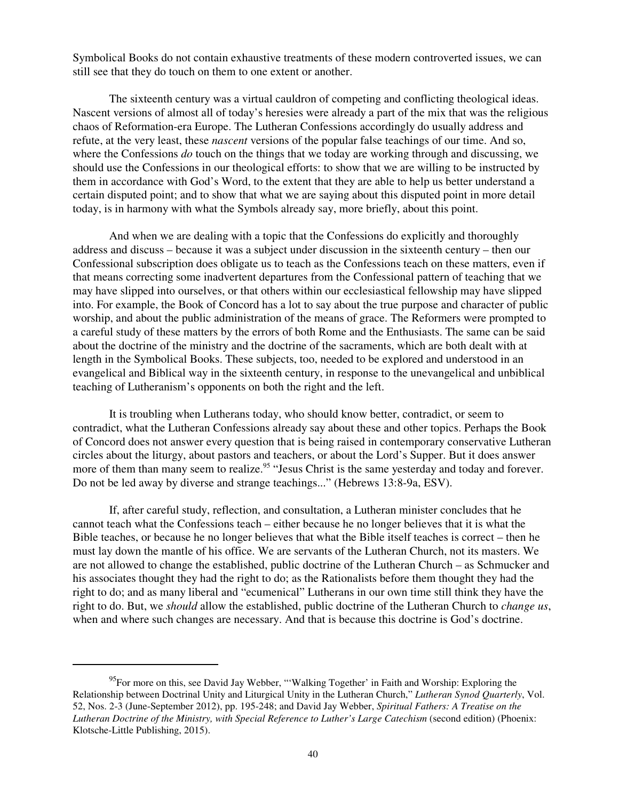Symbolical Books do not contain exhaustive treatments of these modern controverted issues, we can still see that they do touch on them to one extent or another.

The sixteenth century was a virtual cauldron of competing and conflicting theological ideas. Nascent versions of almost all of today's heresies were already a part of the mix that was the religious chaos of Reformation-era Europe. The Lutheran Confessions accordingly do usually address and refute, at the very least, these *nascent* versions of the popular false teachings of our time. And so, where the Confessions *do* touch on the things that we today are working through and discussing, we should use the Confessions in our theological efforts: to show that we are willing to be instructed by them in accordance with God's Word, to the extent that they are able to help us better understand a certain disputed point; and to show that what we are saying about this disputed point in more detail today, is in harmony with what the Symbols already say, more briefly, about this point.

And when we are dealing with a topic that the Confessions do explicitly and thoroughly address and discuss – because it was a subject under discussion in the sixteenth century – then our Confessional subscription does obligate us to teach as the Confessions teach on these matters, even if that means correcting some inadvertent departures from the Confessional pattern of teaching that we may have slipped into ourselves, or that others within our ecclesiastical fellowship may have slipped into. For example, the Book of Concord has a lot to say about the true purpose and character of public worship, and about the public administration of the means of grace. The Reformers were prompted to a careful study of these matters by the errors of both Rome and the Enthusiasts. The same can be said about the doctrine of the ministry and the doctrine of the sacraments, which are both dealt with at length in the Symbolical Books. These subjects, too, needed to be explored and understood in an evangelical and Biblical way in the sixteenth century, in response to the unevangelical and unbiblical teaching of Lutheranism's opponents on both the right and the left.

It is troubling when Lutherans today, who should know better, contradict, or seem to contradict, what the Lutheran Confessions already say about these and other topics. Perhaps the Book of Concord does not answer every question that is being raised in contemporary conservative Lutheran circles about the liturgy, about pastors and teachers, or about the Lord's Supper. But it does answer more of them than many seem to realize.<sup>95</sup> "Jesus Christ is the same yesterday and today and forever. Do not be led away by diverse and strange teachings..." (Hebrews 13:8-9a, ESV).

If, after careful study, reflection, and consultation, a Lutheran minister concludes that he cannot teach what the Confessions teach – either because he no longer believes that it is what the Bible teaches, or because he no longer believes that what the Bible itself teaches is correct – then he must lay down the mantle of his office. We are servants of the Lutheran Church, not its masters. We are not allowed to change the established, public doctrine of the Lutheran Church – as Schmucker and his associates thought they had the right to do; as the Rationalists before them thought they had the right to do; and as many liberal and "ecumenical" Lutherans in our own time still think they have the right to do. But, we *should* allow the established, public doctrine of the Lutheran Church to *change us*, when and where such changes are necessary. And that is because this doctrine is God's doctrine.

<sup>&</sup>lt;sup>95</sup>For more on this, see David Jay Webber, "'Walking Together' in Faith and Worship: Exploring the Relationship between Doctrinal Unity and Liturgical Unity in the Lutheran Church," *Lutheran Synod Quarterly*, Vol. 52, Nos. 2-3 (June-September 2012), pp. 195-248; and David Jay Webber, *Spiritual Fathers: A Treatise on the Lutheran Doctrine of the Ministry, with Special Reference to Luther's Large Catechism* (second edition) (Phoenix: Klotsche-Little Publishing, 2015).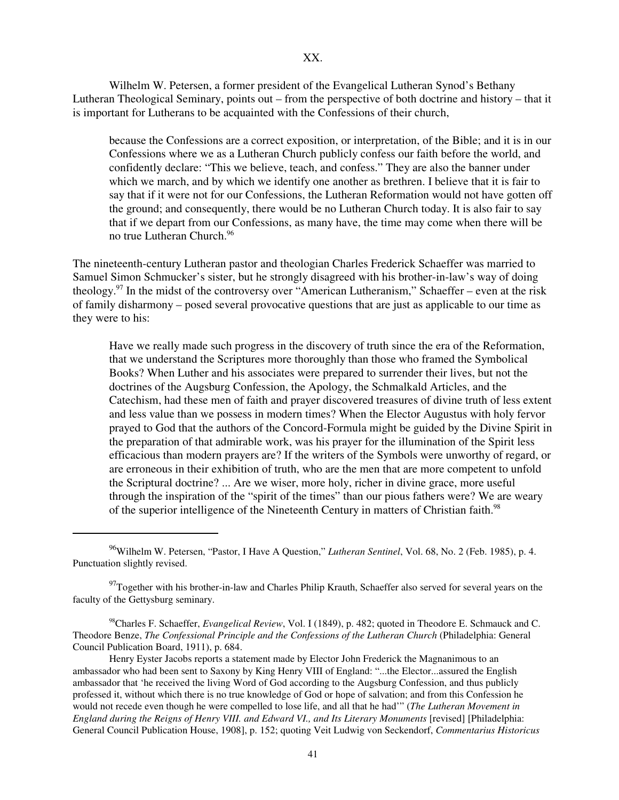XX.

Wilhelm W. Petersen, a former president of the Evangelical Lutheran Synod's Bethany Lutheran Theological Seminary, points out – from the perspective of both doctrine and history – that it is important for Lutherans to be acquainted with the Confessions of their church,

because the Confessions are a correct exposition, or interpretation, of the Bible; and it is in our Confessions where we as a Lutheran Church publicly confess our faith before the world, and confidently declare: "This we believe, teach, and confess." They are also the banner under which we march, and by which we identify one another as brethren. I believe that it is fair to say that if it were not for our Confessions, the Lutheran Reformation would not have gotten off the ground; and consequently, there would be no Lutheran Church today. It is also fair to say that if we depart from our Confessions, as many have, the time may come when there will be no true Lutheran Church.<sup>96</sup>

The nineteenth-century Lutheran pastor and theologian Charles Frederick Schaeffer was married to Samuel Simon Schmucker's sister, but he strongly disagreed with his brother-in-law's way of doing theology.<sup>97</sup> In the midst of the controversy over "American Lutheranism," Schaeffer – even at the risk of family disharmony – posed several provocative questions that are just as applicable to our time as they were to his:

Have we really made such progress in the discovery of truth since the era of the Reformation, that we understand the Scriptures more thoroughly than those who framed the Symbolical Books? When Luther and his associates were prepared to surrender their lives, but not the doctrines of the Augsburg Confession, the Apology, the Schmalkald Articles, and the Catechism, had these men of faith and prayer discovered treasures of divine truth of less extent and less value than we possess in modern times? When the Elector Augustus with holy fervor prayed to God that the authors of the Concord-Formula might be guided by the Divine Spirit in the preparation of that admirable work, was his prayer for the illumination of the Spirit less efficacious than modern prayers are? If the writers of the Symbols were unworthy of regard, or are erroneous in their exhibition of truth, who are the men that are more competent to unfold the Scriptural doctrine? ... Are we wiser, more holy, richer in divine grace, more useful through the inspiration of the "spirit of the times" than our pious fathers were? We are weary of the superior intelligence of the Nineteenth Century in matters of Christian faith.<sup>98</sup>

<sup>96</sup>Wilhelm W. Petersen, "Pastor, I Have A Question," *Lutheran Sentinel*, Vol. 68, No. 2 (Feb. 1985), p. 4. Punctuation slightly revised.

<sup>&</sup>lt;sup>97</sup>Together with his brother-in-law and Charles Philip Krauth, Schaeffer also served for several years on the faculty of the Gettysburg seminary.

<sup>98</sup>Charles F. Schaeffer, *Evangelical Review*, Vol. I (1849), p. 482; quoted in Theodore E. Schmauck and C. Theodore Benze, *The Confessional Principle and the Confessions of the Lutheran Church* (Philadelphia: General Council Publication Board, 1911), p. 684.

Henry Eyster Jacobs reports a statement made by Elector John Frederick the Magnanimous to an ambassador who had been sent to Saxony by King Henry VIII of England: "...the Elector...assured the English ambassador that 'he received the living Word of God according to the Augsburg Confession, and thus publicly professed it, without which there is no true knowledge of God or hope of salvation; and from this Confession he would not recede even though he were compelled to lose life, and all that he had'" (*The Lutheran Movement in England during the Reigns of Henry VIII. and Edward VI., and Its Literary Monuments* [revised] [Philadelphia: General Council Publication House, 1908], p. 152; quoting Veit Ludwig von Seckendorf, *Commentarius Historicus*